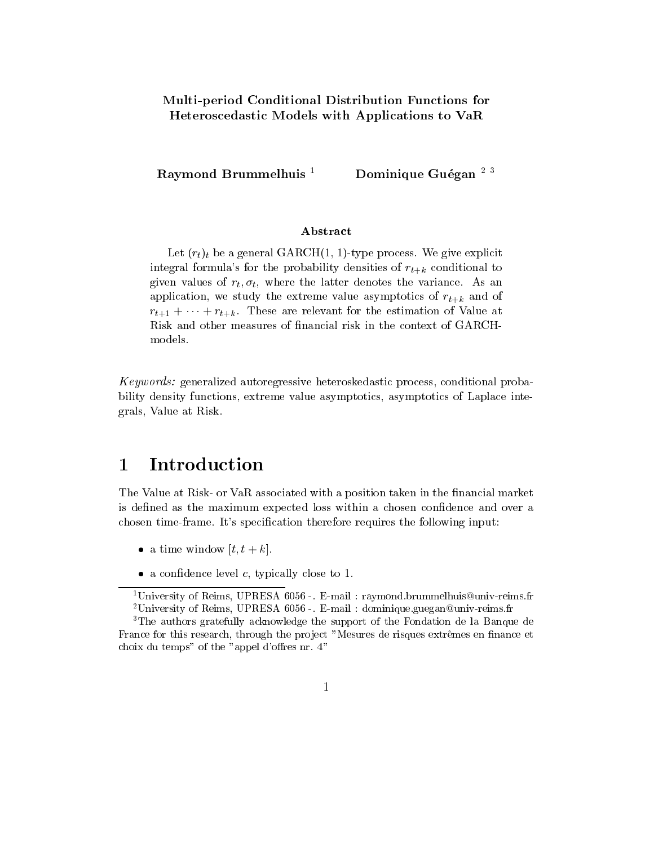### Multi-period Conditional Distribution Functions for Heteroscedastic Models with Applications to VaR

Raymond Brummelhuis<sup>1</sup> Dominique Guégan<sup>23</sup>

### Abstract

Let  $(r_t)_t$  be a general GARCH(1, 1)-type process. We give explicit integral formula's for the probability densities of  $r_{t+k}$  conditional to given values of  $r_t, \sigma_t$ , where the latter denotes the variance. As an application, we study the extreme value asymptotics of  $r_{t+k}$  and of  $r_{t+1} + \cdots + r_{t+k}$ . These are relevant for the estimation of Value at Risk and other measures of nancial risk in the context of GARCHmodels.

Keywords: generalized autoregressive heteroskedastic process, conditional probability density functions, extreme value asymptotics, asymptotics of Laplace integrals, Value at Risk.

#### **Introduction**  $\mathbf 1$

The Value at Risk- or VaR associated with a position taken in the financial market is defined as the maximum expected loss within a chosen confidence and over a chosen time-frame. It's specification therefore requires the following input:

- a time window  $[t, t + \kappa]$ .
- $\bullet$  a confidence level  $c,$  typically close to 1.

<sup>&</sup>lt;sup>1</sup>University of Reims, UPRESA 6056 -. E-mail : raymond.brummelhuis@univ-reims.fr 2University of Reims, UPRESA 6056 -. E-mail : dominique.guegan@univ-reims.fr

<sup>3</sup>The authors gratefully acknowledge the support of the Fondation de la Banque de France for this research, through the project "Mesures de risques extrêmes en finance et choix du temps" of the "appel d'offres nr. 4"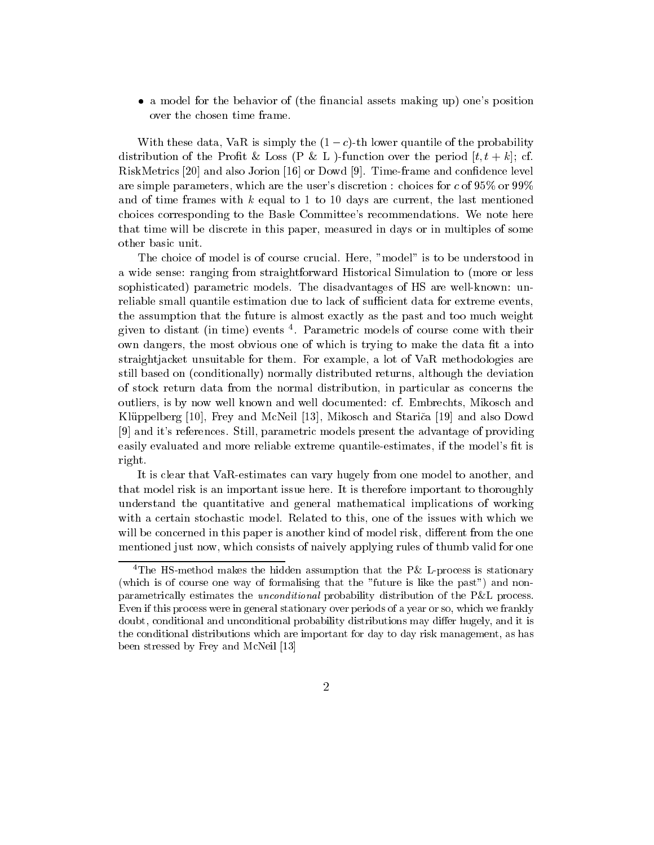• a model for the behavior of (the financial assets making up) one's position over the chosen time frame.

With these data, VaR is simply the  $(1 - c)$ -th lower quantile of the probability distribution of the Profit & Loss (P & L )-function over the period  $[t, t + k]$ ; cf. RiskMetrics [20] and also Jorion [16] or Dowd [9]. Time-frame and condence level are simple parameters, which are the user's discretion : choices for c of 95% or 99% and of time frames with  $k$  equal to 1 to 10 days are current, the last mentioned choices corresponding to the Basle Committee's recommendations. We note here that time will be discrete in this paper, measured in days or in multiples of some other basic unit.

The choice of model is of course crucial. Here, "model" is to be understood in a wide sense: ranging from straightforward Historical Simulation to (more or less sophisticated) parametric models. The disadvantages of HS are well-known: unreliable small quantile estimation due to lack of sufficient data for extreme events, the assumption that the future is almost exactly as the past and too much weight given to distant (in time) events <sup>4</sup> . Parametric models of course come with their own dangers, the most obvious one of which is trying to make the data fit a into straightjacket unsuitable for them. For example, a lot of VaR methodologies are still based on (conditionally) normally distributed returns, although the deviation of stock return data from the normal distribution, in particular as concerns the outliers, is by now well known and well documented: cf. Embrechts, Mikosch and Klüppelberg [10], Frey and McNeil [13], Mikosch and Stariča [19] and also Dowd [9] and it's references. Still, parametric models present the advantage of providing easily evaluated and more reliable extreme quantile-estimates, if the model's fit is right.

It is clear that VaR-estimates can vary hugely from one model to another, and that model risk is an important issue here. It is therefore important to thoroughly understand the quantitative and general mathematical implications of working with a certain stochastic model. Related to this, one of the issues with which we will be concerned in this paper is another kind of model risk, different from the one mentioned just now, which consists of naively applying rules of thumb valid for one

<sup>4</sup>The HS-method makes the hidden assumption that the P& L-process is stationary (which is of course one way of formalising that the "future is like the past") and nonparametrically estimates the unconditional probability distribution of the P&L process. Even if this process were in general stationary over periods of a year or so, which we frankly doubt, conditional and unconditional probability distributions may differ hugely, and it is the conditional distributions which are important for day to day risk management, as has been stressed by Frey and McNeil [13]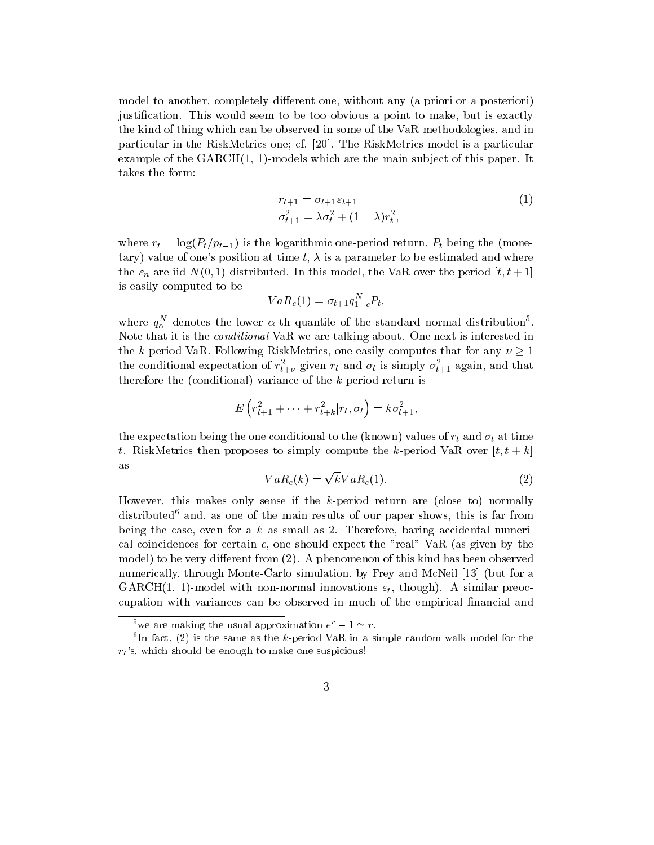model to another, completely different one, without any (a priori or a posteriori) justication. This would seem to be too obvious a point to make, but is exactly the kind of thing which can be observed in some of the VaR methodologies, and in particular in the RiskMetrics one; cf. [20]. The RiskMetrics model is a particular example of the  $GARCH(1, 1)$ -models which are the main subject of this paper. It takes the form:

$$
r_{t+1} = \sigma_{t+1} \varepsilon_{t+1}
$$
  
\n
$$
\sigma_{t+1}^2 = \lambda \sigma_t^2 + (1 - \lambda)r_t^2,
$$
\n(1)

where  $r_t = \log(P_t/p_{t-1})$  is the logarithmic one-period return,  $P_t$  being the (monetary) value of one's position at time t,  $\lambda$  is a parameter to be estimated and where the  $\varepsilon_n$  are iid  $N(0, 1)$ -distributed. In this model, the VaR over the period  $[t, t + 1]$ is easily computed to be

$$
VaR_c(1)=\sigma_{t+1}q_{1-c}^N P_t,
$$

where  $q_{\alpha}^{\perp}$  denotes the lower  $\alpha$ -th quantile of the standard normal distributions. Note that it is the conditional VaR we are talking about. One next is interested in the k-period VaR. Following RiskMetrics, one easily computes that for any  $\nu \geq 1$ the conditional expectation of  $r_{t+\nu}^*$  given  $r_t$  and  $\sigma_t$  is simply  $\sigma_{t+1}^*$  again, and that therefore the (conditional) variance of the k-period return is

$$
E\left(r_{t+1}^2 + \cdots + r_{t+k}^2|r_t, \sigma_t\right) = k\sigma_{t+1}^2,
$$

the expectation being the one conditional to the (known) values of  $r_t$  and  $\sigma_t$  at time t. RiskMetrics then proposes to simply compute the k-period VaR over  $[t, t + k]$ as

$$
VaR_c(k) = \sqrt{k}VaR_c(1). \tag{2}
$$

However, this makes only sense if the  $k$ -period return are (close to) normally distributed<sup>6</sup> and, as one of the main results of our paper shows, this is far from being the case, even for a  $k$  as small as 2. Therefore, baring accidental numerical coincidences for certain  $c$ , one should expect the "real" VaR (as given by the model) to be very different from  $(2)$ . A phenomenon of this kind has been observed numerically, through Monte-Carlo simulation, by Frey and McNeil [13] (but for a GARCH(1, 1)-model with non-normal innovations  $\varepsilon_t$ , though). A similar preoccupation with variances can be observed in much of the empirical nancial and

<sup>&</sup>quot;we are making the usual approximation  $e^r - 1 \simeq r$ .

In fact, (2) is the same as the  $\kappa$ -period vart in a simple random walk model for the  $r_t$ 's, which should be enough to make one suspicious!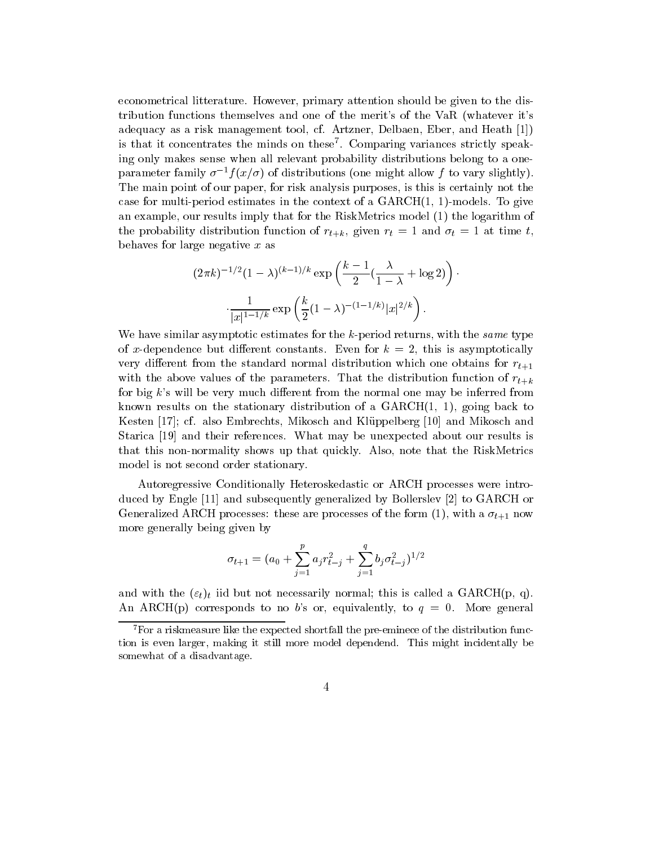econometrical litterature. However, primary attention should be given to the distribution functions themselves and one of the merit's of the VaR (whatever it's adequacy as a risk management tool, cf. Artzner, Delbaen, Eber, and Heath [1]) is that it concentrates the minds on these . Comparing variances strictly speaking only makes sense when all relevant probability distributions belong to a oneparameter family  $\sigma^{-1} f (x/\sigma)$  of distributions (one might allow f to vary slightly). The main point of our paper, for risk analysis purposes, is this is certainly not the case for multi-period estimates in the context of a  $GARCH(1, 1)$ -models. To give an example, our results imply that for the RiskMetrics model (1) the logarithm of the probability distribution function of  $r_{t+k}$ , given  $r_t = 1$  and  $\sigma_t = 1$  at time t, behaves for large negative  $x$  as

$$
(2\pi k)^{-1/2} (1 - \lambda)^{(k-1)/k} \exp\left(\frac{k-1}{2}(\frac{\lambda}{1-\lambda} + \log 2)\right) \cdot \frac{1}{|x|^{1-1/k}} \exp\left(\frac{k}{2}(1-\lambda)^{-(1-1/k)}|x|^{2/k}\right).
$$

We have similar asymptotic estimates for the k-period returns, with the same type of x-dependence but different constants. Even for  $k = 2$ , this is asymptotically very different from the standard normal distribution which one obtains for  $r_{t+1}$ with the above values of the parameters. That the distribution function of  $r_{t+k}$ for big  $k$ 's will be very much different from the normal one may be inferred from known results on the stationary distribution of a  $GARCH(1, 1)$ , going back to Kesten [17]; cf. also Embrechts, Mikosch and Kluppelberg [10] and Mikosch and Starica [19] and their references. What may be unexpected about our results is that this non-normality shows up that quickly. Also, note that the RiskMetrics model is not second order stationary.

Autoregressive Conditionally Heteroskedastic or ARCH processes were introduced by Engle [11] and subsequently generalized by Bollerslev [2] to GARCH or Generalized ARCH processes: these are processes of the form (1), with a  $\sigma_{t+1}$  now more generally being given by

$$
\sigma_{t+1} = (a_0 + \sum_{j=1}^p a_j r_{t-j}^2 + \sum_{j=1}^q b_j \sigma_{t-j}^2)^{1/2}
$$

and with the  $(\varepsilon_t)_t$  iid but not necessarily normal; this is called a GARCH(p, q). An ARCH(p) corresponds to no b's or, equivalently, to  $q = 0$ . More general

<sup>7</sup>For a riskmeasure like the expected shortfall the pre-eminece of the distribution function is even larger, making it still more model dependend. This might incidentally be somewhat of a disadvantage.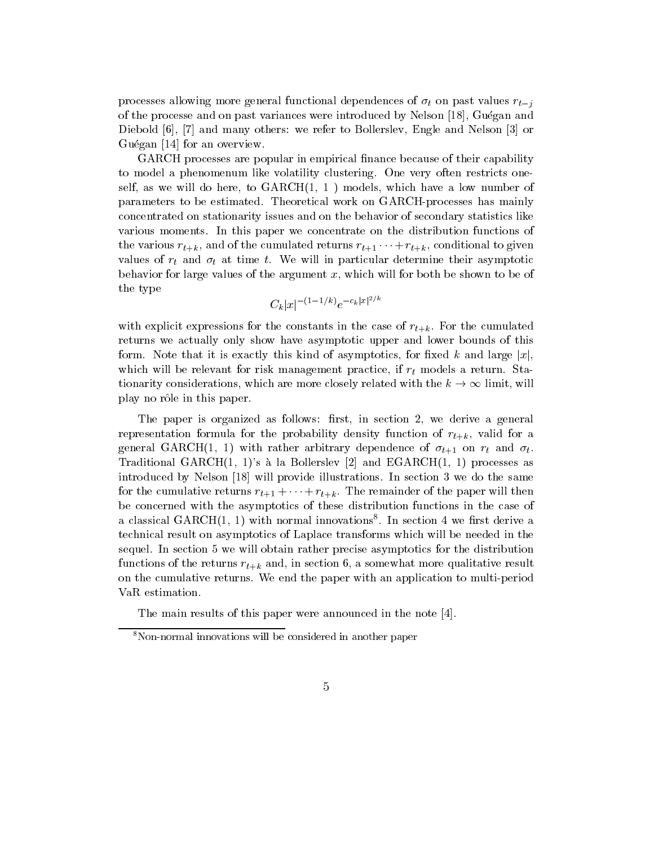processes allowing more general functional dependences of  $\sigma_t$  on past values  $r_{t-j}$ of the processe and on past variances were introduced by Nelson [18], Guegan and Diebold [6], [7] and many others: we refer to Bollerslev, Engle and Nelson [3] or Guégan [14] for an overview.

GARCH processes are popular in empirical finance because of their capability to model a phenomenum like volatility clustering. One very often restricts oneself, as we will do here, to  $GARCH(1, 1)$  models, which have a low number of parameters to be estimated. Theoretical work on GARCH-processes has mainly concentrated on stationarity issues and on the behavior of secondary statistics like various moments. In this paper we concentrate on the distribution functions of the various  $r_{t+k}$ , and of the cumulated returns  $r_{t+1} \cdots + r_{t+k}$ , conditional to given values of  $r_t$  and  $\sigma_t$  at time t. We will in particular determine their asymptotic behavior for large values of the argument  $x$ , which will for both be shown to be of the type

$$
C_k |x|^{-(1-1/k)} e^{-c_k |x|^{2/k}}
$$

with explicit expressions for the constants in the case of  $r_{t+k}$ . For the cumulated returns we actually only show have asymptotic upper and lower bounds of this form. Note that it is exactly this kind of asymptotics, for fixed k and large  $|x|$ . which will be relevant for risk management practice, if  $r_t$  models a return. Stationarity considerations, which are more closely related with the  $k \to \infty$  limit, will play no r^ole in this paper.

The paper is organized as follows: first, in section 2, we derive a general representation formula for the probability density function of  $r_{t+k}$ , valid for a general GARCH(1, 1) with rather arbitrary dependence of  $\sigma_{t+1}$  on  $r_t$  and  $\sigma_t$ . Traditional GARCH $(1, 1)$ 's à la Bollerslev  $[2]$  and EGARCH $(1, 1)$  processes as introduced by Nelson [18] will provide illustrations. In section 3 we do the same for the cumulative returns  $r_{t+1} + \cdots + r_{t+k}$ . The remainder of the paper will then be concerned with the asymptotics of these distribution functions in the case of a classical GARCH(1, 1) with normal innovations". In section 4 we first derive a technical result on asymptotics of Laplace transforms which will be needed in the sequel. In section 5 we will obtain rather precise asymptotics for the distribution functions of the returns  $r_{t+k}$  and, in section 6, a somewhat more qualitative result on the cumulative returns. We end the paper with an application to multi-period VaR estimation.

The main results of this paper were announced in the note [4].

<sup>8</sup>Non-normal innovations will be considered in another paper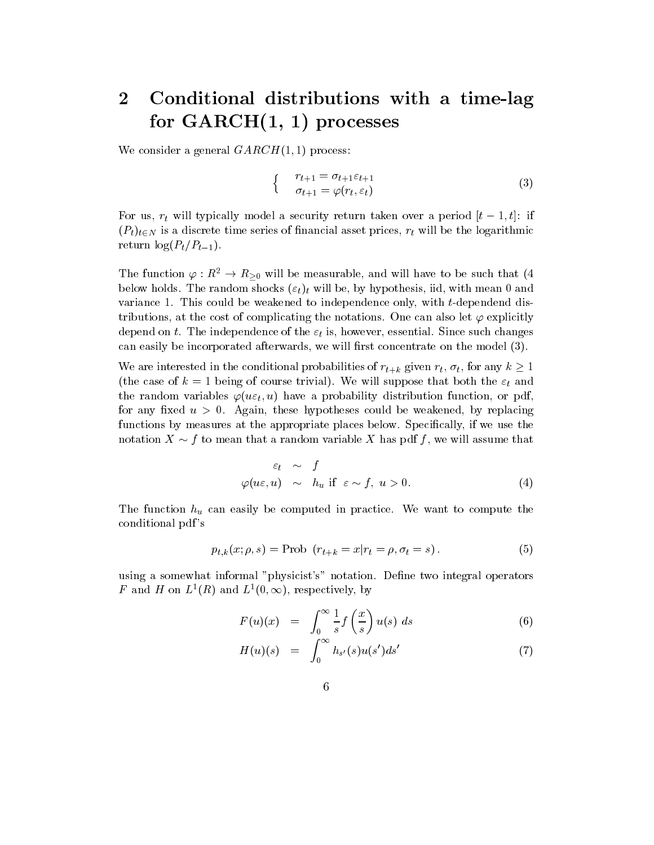# 2 Conditional distributions with a time-lag for  $GARCH(1, 1)$  processes

We consider a general  $GARCH(1, 1)$  process:

$$
\begin{cases}\n r_{t+1} = \sigma_{t+1} \varepsilon_{t+1} \\
 \sigma_{t+1} = \varphi(r_t, \varepsilon_t)\n\end{cases} \tag{3}
$$

For us,  $r_t$  will typically model a security return taken over a period  $[t - 1, t]$ : if  $(P_t)_{t\in N}$  is a discrete time series of financial asset prices,  $r_t$  will be the logarithmic return  $\log(P_t/P_{t-1})$ .

The function  $\varphi : R^2 \to R_{\geq 0}$  will be measurable, and will have to be such that (4) below holds. The random shocks  $(\varepsilon_t)_t$  will be, by hypothesis, iid, with mean 0 and variance 1. This could be weakened to independence only, with t-dependend distributions, at the cost of complicating the notations. One can also let  $\varphi$  explicitly depend on t. The independence of the  $\varepsilon_t$  is, however, essential. Since such changes can easily be incorporated afterwards, we will first concentrate on the model  $(3)$ .

We are interested in the conditional probabilities of  $r_{t+k}$  given  $r_t$ ,  $\sigma_t$ , for any  $k \geq 1$ (the case of  $k = 1$  being of course trivial). We will suppose that both the  $\varepsilon_t$  and the random variables  $\varphi(u\varepsilon_t, u)$  have a probability distribution function, or pdf, for any fixed  $u > 0$ . Again, these hypotheses could be weakened, by replacing functions by measures at the appropriate places below. Specifically, if we use the notation  $X \sim f$  to mean that a random variable X has pdf f, we will assume that

$$
\varepsilon_t \sim f
$$
  
  $\varphi(ue, u) \sim h_u \text{ if } \varepsilon \sim f, u > 0.$  (4)

The function  $h_u$  can easily be computed in practice. We want to compute the conditional pdf's

$$
p_{t,k}(x;\rho,s) = \text{Prob} \left( r_{t+k} = x | r_t = \rho, \sigma_t = s \right). \tag{5}
$$

using a somewhat informal "physicist's" notation. Define two integral operators F and H on  $L^1(R)$  and  $L^1(0, \infty)$ , respectively, by

$$
F(u)(x) = \int_0^\infty \frac{1}{s} f\left(\frac{x}{s}\right) u(s) \ ds \tag{6}
$$

$$
H(u)(s) = \int_0^\infty h_{s'}(s)u(s')ds' \tag{7}
$$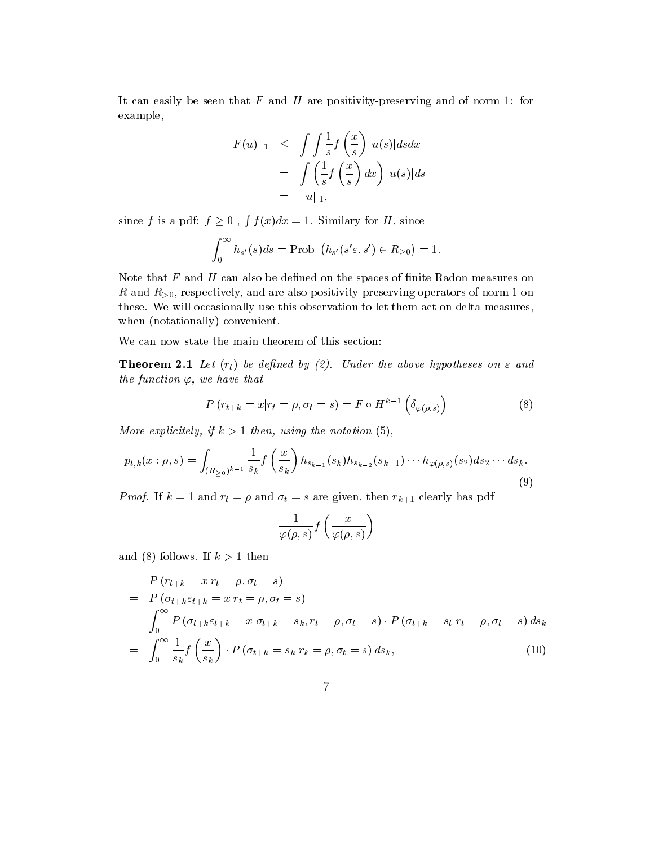It can easily be seen that  $F$  and  $H$  are positivity-preserving and of norm 1: for example,

$$
||F(u)||_1 \leq \int \int \frac{1}{s} f\left(\frac{x}{s}\right) |u(s)| ds dx
$$
  
= 
$$
\int \left(\frac{1}{s} f\left(\frac{x}{s}\right) dx\right) |u(s)| ds
$$
  
= 
$$
||u||_1,
$$

since f is a pdf:  $f \geq 0$ ,  $\int f(x)dx = 1$ . Similary for H, since

$$
\int_0^\infty h_{s'}(s)ds = \text{Prob} \ \left( h_{s'}(s'\varepsilon, s') \in R_{\geq 0} \right) = 1.
$$

Note that  $F$  and  $H$  can also be defined on the spaces of finite Radon measures on R and  $R_{>0}$ , respectively, and are also positivity-preserving operators of norm 1 on these. We will occasionally use this observation to let them act on delta measures, when (notationally) convenient.

We can now state the main theorem of this section:

**Theorem 2.1** Let  $(r_t)$  be defined by (2). Under the above hypotheses on  $\varepsilon$  and the function  $\varphi$ , we have that

$$
P(r_{t+k} = x | r_t = \rho, \sigma_t = s) = F \circ H^{k-1} \left( \delta_{\varphi(\rho, s)} \right) \tag{8}
$$

More explicitely, if  $k > 1$  then, using the notation (5),

$$
p_{t,k}(x:\rho,s) = \int_{(R_{\geq 0})^{k-1}} \frac{1}{s_k} f\left(\frac{x}{s_k}\right) h_{s_{k-1}}(s_k) h_{s_{k-2}}(s_{k-1}) \cdots h_{\varphi(\rho,s)}(s_2) ds_2 \cdots ds_k.
$$
\n(9)

*Proof.* If  $k = 1$  and  $r_t = \rho$  and  $\sigma_t = s$  are given, then  $r_{k+1}$  clearly has pdf

$$
\frac{1}{\varphi(\rho,s)}f\left(\frac{x}{\varphi(\rho,s)}\right)
$$

and (8) follows. If  $k > 1$  then

$$
P(r_{t+k} = x | r_t = \rho, \sigma_t = s)
$$
  
= 
$$
P(\sigma_{t+k} \varepsilon_{t+k} = x | r_t = \rho, \sigma_t = s)
$$
  
= 
$$
\int_0^\infty P(\sigma_{t+k} \varepsilon_{t+k} = x | \sigma_{t+k} = s_k, r_t = \rho, \sigma_t = s) \cdot P(\sigma_{t+k} = s_t | r_t = \rho, \sigma_t = s) ds_k
$$
  
= 
$$
\int_0^\infty \frac{1}{s_k} f\left(\frac{x}{s_k}\right) \cdot P(\sigma_{t+k} = s_k | r_k = \rho, \sigma_t = s) ds_k,
$$
 (10)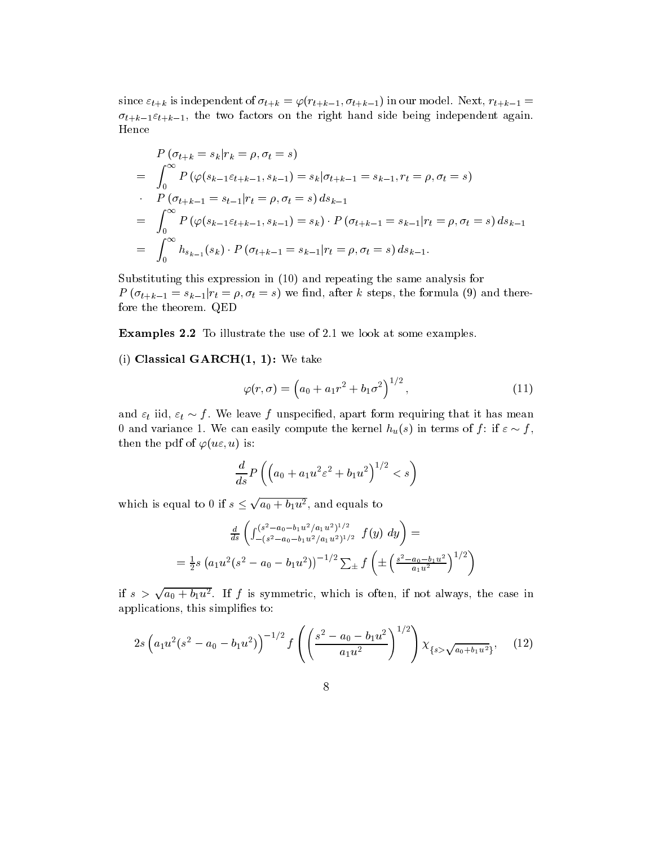since  $\varepsilon_{t+k}$  is independent of  $\sigma_{t+k} = \varphi(r_{t+k-1}, \sigma_{t+k-1})$  in our model. Next,  $r_{t+k-1} =$  $\sigma_{t+k-1} \varepsilon_{t+k-1}$ , the two factors on the right hand side being independent again. Hence

$$
P(\sigma_{t+k} = s_k | r_k = \rho, \sigma_t = s)
$$
  
=  $\int_0^\infty P(\varphi(s_{k-1}\varepsilon_{t+k-1}, s_{k-1}) = s_k | \sigma_{t+k-1} = s_{k-1}, r_t = \rho, \sigma_t = s)$   
 $P(\sigma_{t+k-1} = s_{t-1} | r_t = \rho, \sigma_t = s) ds_{k-1}$   
=  $\int_0^\infty P(\varphi(s_{k-1}\varepsilon_{t+k-1}, s_{k-1}) = s_k) \cdot P(\sigma_{t+k-1} = s_{k-1} | r_t = \rho, \sigma_t = s) ds_{k-1}$   
=  $\int_0^\infty h_{s_{k-1}}(s_k) \cdot P(\sigma_{t+k-1} = s_{k-1} | r_t = \rho, \sigma_t = s) ds_{k-1}.$ 

Substituting this expression in (10) and repeating the same analysis for  $P(\sigma_{t+k-1} = s_{k-1} | r_t = \rho, \sigma_t = s)$  we find, after k steps, the formula (9) and therefore the theorem. QED

Examples 2.2 To illustrate the use of 2.1 we look at some examples.

### (i) Classical GARCH $(1, 1)$ : We take

$$
\varphi(r,\sigma) = \left(a_0 + a_1r^2 + b_1\sigma^2\right)^{1/2},\tag{11}
$$

and  $\varepsilon_t$  iid,  $\varepsilon_t \sim f$ . We leave f unspecified, apart form requiring that it has mean 0 and variance 1. We can easily compute the kernel  $h_u(s)$  in terms of f: if  $\varepsilon \sim f$ , then the pdf of  $\varphi(u\varepsilon, u)$  is:

$$
\frac{d}{ds}P\left(\left(a_0+a_1u^2\varepsilon^2+b_1u^2\right)^{1/2}
$$

which is equal to 0 if  $s \leq \sqrt{a_0 + b_1 u^2}$ , and equals to

$$
\frac{d}{ds} \left( \int_{-(s^2 - a_0 - b_1 u^2 / a_1 u^2)^{1/2}}^{(s^2 - a_0 - b_1 u^2 / a_1 u^2)^{1/2}} f(y) dy \right) =
$$
\n
$$
= \frac{1}{2} s \left( a_1 u^2 (s^2 - a_0 - b_1 u^2) \right)^{-1/2} \sum_{\pm} f \left( \pm \left( \frac{s^2 - a_0 - b_1 u^2}{a_1 u^2} \right)^{1/2} \right)
$$

if  $s > \sqrt{a_0 + b_1 u^2}$ . If f is symmetric, which is often, if not always, the case in applications, this simplifies to:

$$
2s\left(a_1u^2(s^2-a_0-b_1u^2)\right)^{-1/2}f\left(\left(\frac{s^2-a_0-b_1u^2}{a_1u^2}\right)^{1/2}\right)\chi_{\{s>\sqrt{a_0+b_1u^2}\}},\quad(12)
$$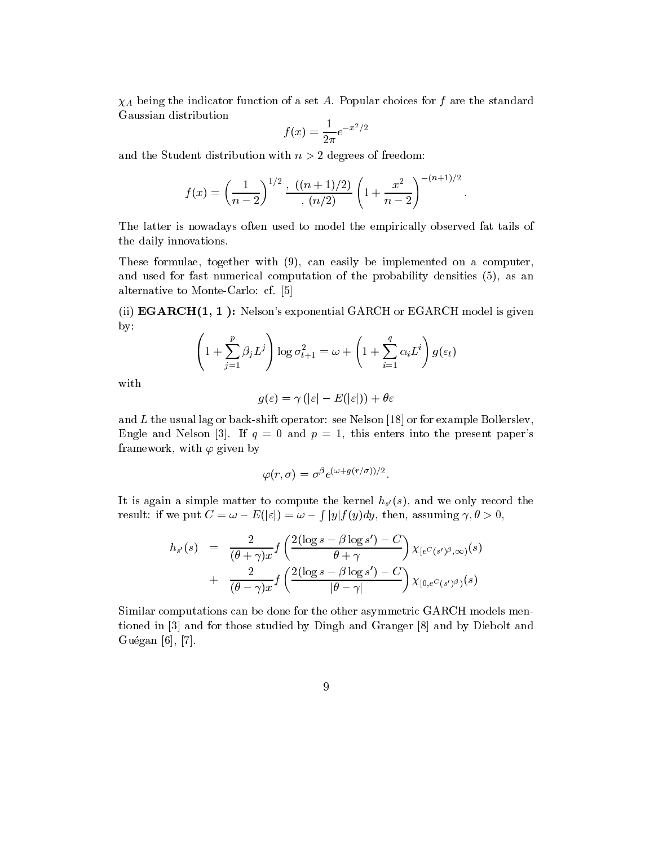$\chi_A$  being the indicator function of a set A. Popular choices for f are the standard Gaussian distribution

$$
f(x)=\frac{1}{2\pi}e^{-x^2/2}
$$

and the Student distribution with  $n > 2$  degrees of freedom:

$$
f(x) = \left(\frac{1}{n-2}\right)^{1/2} \cdot \frac{((n+1)/2)}{(n/2)} \left(1 + \frac{x^2}{n-2}\right)^{-(n+1)/2}.
$$

The latter is nowadays often used to model the empirically observed fat tails of the daily innovations.

These formulae, together with (9), can easily be implemented on a computer, and used for fast numerical computation of the probability densities (5), as an alternative to Monte-Carlo: cf. [5]

(ii)  $EGARCH(1, 1)$ : Nelson's exponential GARCH or EGARCH model is given by:

$$
\left(1 + \sum_{j=1}^{p} \beta_j L^j\right) \log \sigma_{t+1}^2 = \omega + \left(1 + \sum_{i=1}^{q} \alpha_i L^i\right) g(\varepsilon_t)
$$

with

$$
g(\varepsilon)=\gamma\left(|\varepsilon|-E(|\varepsilon|)\right)+\theta\varepsilon
$$

and  $L$  the usual lag or back-shift operator: see Nelson [18] or for example Bollerslev, Engle and Nelson [3]. If  $q = 0$  and  $p = 1$ , this enters into the present paper's framework, with  $\varphi$  given by

$$
\varphi(r,\sigma)=\sigma^{\beta}e^{(\omega+g(r/\sigma))/2}.
$$

It is again a simple matter to compute the kernel  $h_{s'}(s)$ , and we only record the result: if we put  $C = \omega - E(|\varepsilon|) = \omega - \int |y| f(y) dy$ , then, assuming  $\gamma, \theta > 0$ ,

$$
h_{s'}(s) = \frac{2}{(\theta + \gamma)x} f\left(\frac{2(\log s - \beta \log s') - C}{\theta + \gamma}\right) \chi_{[e^C(s')^{\beta}, \infty)}(s)
$$
  
+ 
$$
\frac{2}{(\theta - \gamma)x} f\left(\frac{2(\log s - \beta \log s') - C}{|\theta - \gamma|}\right) \chi_{[0, e^C(s')^{\beta})}(s)
$$

Similar computations can be done for the other asymmetric GARCH models mentioned in [3] and for those studied by Dingh and Granger [8] and by Diebolt and Guégan [6], [7].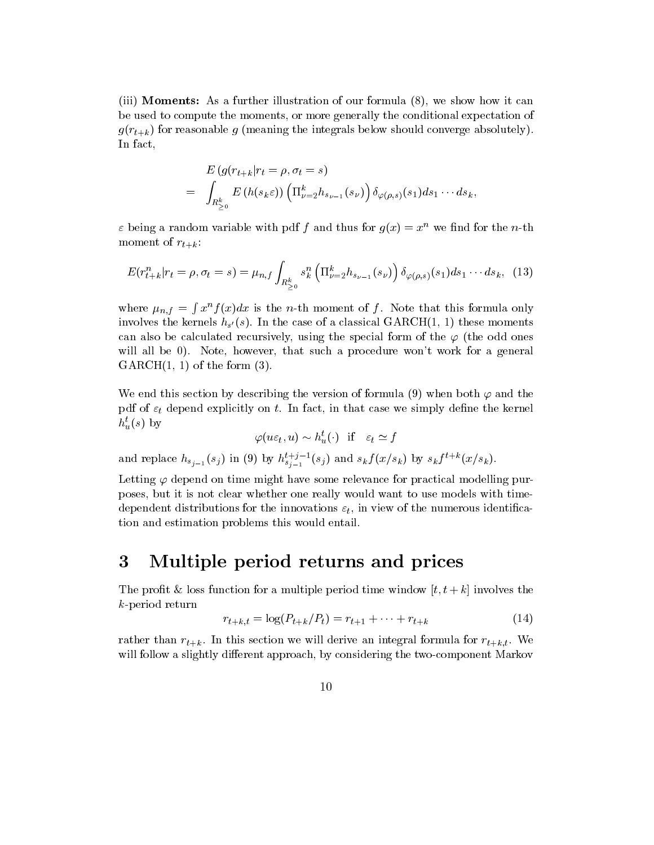(iii) Moments: As a further illustration of our formula (8), we show how it can be used to compute the moments, or more generally the conditional expectation of  $g(r_{t+k})$  for reasonable g (meaning the integrals below should converge absolutely). In fact,

$$
E(g(r_{t+k}|r_t = \rho, \sigma_t = s))
$$
  
= 
$$
\int_{R_{\geq 0}^k} E(h(s_k \varepsilon)) \left( \prod_{\nu=2}^k h_{s_{\nu-1}}(s_{\nu}) \right) \delta_{\varphi(\rho,s)}(s_1) ds_1 \cdots ds_k,
$$

 $\varepsilon$  being a random variable with pdf f and thus for  $g(x) = x^n$  we find for the n-th moment of  $r_{t+k}$ :

$$
E(r_{t+k}^n | r_t = \rho, \sigma_t = s) = \mu_{n,f} \int_{R_{\geq 0}^k} s_k^n \left( \prod_{\nu=2}^k h_{s_{\nu-1}}(s_{\nu}) \right) \delta_{\varphi(\rho,s)}(s_1) ds_1 \cdots ds_k, \tag{13}
$$

where  $\mathbf{r} = \mathbf{r} \cdot \mathbf{r}$  , the set of  $\mathbf{r} = \mathbf{r} \cdot \mathbf{r}$  $\int x^n f(x) dx$  is the *n*-th moment of f. Note that this formula only involves the kernels  $h_{s'}(s)$ . In the case of a classical GARCH(1, 1) these moments can also be calculated recursively, using the special form of the  $\varphi$  (the odd ones will all be 0). Note, however, that such a procedure won't work for a general  $GARCH(1, 1)$  of the form  $(3)$ .

We end this section by describing the version of formula (9) when both  $\varphi$  and the pdf of  $\varepsilon_t$  depend explicitly on t. In fact, in that case we simply define the kernel  $h_u^t(s)$  by

$$
\varphi(u\varepsilon_t, u) \sim h_u^t(\cdot)
$$
 if  $\varepsilon_t \simeq f$ 

and replace  $h_{s_{j-1}}(s_j)$  in (9) by  $h_{s_{j-1}}^{s-j-1}(s_j)$  and  $s_kf(x/s_k)$  by  $s_kf^{s-k}(x/s_k)$ .

Letting  $\varphi$  depend on time might have some relevance for practical modelling purposes, but it is not clear whether one really would want to use models with timedependent distributions for the innovations  $\varepsilon_t$ , in view of the numerous identification and estimation problems this would entail.

# 3 Multiple period returns and prices

The profit & loss function for a multiple period time window  $[t, t+k]$  involves the k-period return

$$
r_{t+k,t} = \log(P_{t+k}/P_t) = r_{t+1} + \dots + r_{t+k} \tag{14}
$$

rather than  $r_{t+k}$ . In this section we will derive an integral formula for  $r_{t+k,t}$ . We will follow a slightly different approach, by considering the two-component Markov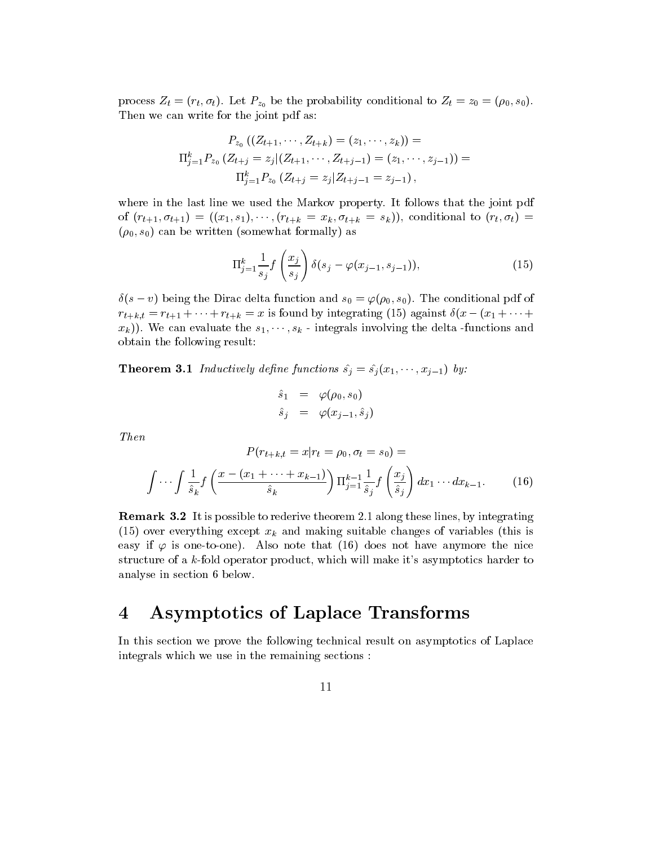process  $Z_t = (r_t, \sigma_t)$ . Let  $P_{z_0}$  be the probability conditional to  $Z_t = z_0 = (\rho_0, s_0)$ . Then we can write for the joint pdf as:

$$
P_{z_0}((Z_{t+1},\dots,Z_{t+k})=(z_1,\dots,z_k)) =
$$
  
\n
$$
\Pi_{j=1}^k P_{z_0}(Z_{t+j}=z_j|(Z_{t+1},\dots,Z_{t+j-1})=(z_1,\dots,z_{j-1})) =
$$
  
\n
$$
\Pi_{j=1}^k P_{z_0}(Z_{t+j}=z_j|Z_{t+j-1}=z_{j-1}),
$$

where in the last line we used the Markov property. It follows that the joint pdf of  $(r_{t+1}, \sigma_{t+1}) = ((x_1, s_1), \cdots, (r_{t+k} = x_k, \sigma_{t+k} = s_k)),$  conditional to  $(r_t, \sigma_t) =$  $(\rho_0, s_0)$  can be written (somewhat formally) as

$$
\Pi_{j=1}^k \frac{1}{s_j} f\left(\frac{x_j}{s_j}\right) \delta(s_j - \varphi(x_{j-1}, s_{j-1})),\tag{15}
$$

 $\vartheta(s - v)$  being the Dirac delta function and  $s_0 = \varphi(\rho_0, s_0).$  The conditional pdf of  $r_{t+k,t} = r_{t+1} + \cdots + r_{t+k} = x$  is found by integrating (15) against  $\delta(x - (x_1 + \cdots + x_{t+k}))$  $(x_k)$ ). We can evaluate the  $s_1, \dots, s_k$  - integrals involving the delta -functions and obtain the following result:

**Theorem 3.1** Inductively define functions  $\hat{s}_j = \hat{s}_j (x_1, \dots, x_{j-1})$  by:

$$
\begin{array}{lcl} \hat{s}_1 & = & \varphi(\rho_0,s_0) \\ \hat{s}_j & = & \varphi(x_{j-1},\hat{s}_j) \end{array}
$$

Then

$$
P(r_{t+k,t} = x | r_t = \rho_0, \sigma_t = s_0) =
$$

$$
\int \cdots \int \frac{1}{\hat{s}_k} f\left(\frac{x - (x_1 + \cdots + x_{k-1})}{\hat{s}_k}\right) \Pi_{j=1}^{k-1} \frac{1}{\hat{s}_j} f\left(\frac{x_j}{\hat{s}_j}\right) dx_1 \cdots dx_{k-1}.
$$
 (16)

Remark 3.2 It is possible to rederive theorem 2.1 along these lines, by integrating (15) over everything except  $x_k$  and making suitable changes of variables (this is easy if  $\varphi$  is one-to-one). Also note that (16) does not have anymore the nice structure of a k-fold operator product, which will make it's asymptotics harder to analyse in section 6 below.

#### 4 Asymptotics of Laplace Transforms  $\boldsymbol{4}$

In this section we prove the following technical result on asymptotics of Laplace integrals which we use in the remaining sections :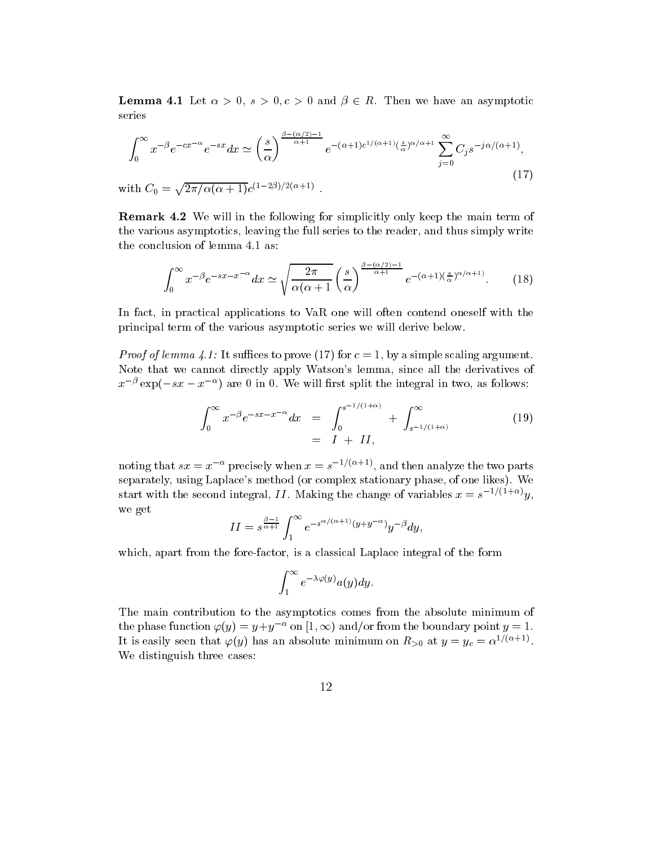**Lemma 4.1** Let  $\alpha > 0$ ,  $s > 0$ ,  $c > 0$  and  $\beta \in R$ . Then we have an asymptotic series

$$
\int_0^\infty x^{-\beta} e^{-cx^{-\alpha}} e^{-sx} dx \simeq \left(\frac{s}{\alpha}\right)^{\frac{\beta - (\alpha/2) - 1}{\alpha + 1}} e^{-(\alpha+1)c^{1/(\alpha+1)}(\frac{s}{\alpha})^{\alpha/\alpha+1}} \sum_{j=0}^\infty C_j s^{-j\alpha/(\alpha+1)},
$$
\nwith  $C_0 = \sqrt{2\pi/\alpha(\alpha+1)}c^{(1-2\beta)/2(\alpha+1)}$ . (17)

Remark 4.2 We will in the following for simplicitly only keep the main term of the various asymptotics, leaving the full series to the reader, and thus simply write the conclusion of lemma 4.1 as:

$$
\int_0^\infty x^{-\beta} e^{-sx - x^{-\alpha}} dx \simeq \sqrt{\frac{2\pi}{\alpha(\alpha+1)}} \left(\frac{s}{\alpha}\right)^{\frac{\beta - (\alpha/2) - 1}{\alpha+1}} e^{- (\alpha+1)(\frac{s}{\alpha})^{\alpha/\alpha+1}}.
$$
 (18)

In fact, in practical applications to VaR one will often contend oneself with the principal term of the various asymptotic series we will derive below.

*Proof of lemma 4.1:* It suffices to prove (17) for  $c = 1$ , by a simple scaling argument. Note that we cannot directly apply Watson's lemma, since all the derivatives of  $x^{-\rho}$  exp( $-sx-x^{-\alpha}$ ) are 0 in 0. We will first split the integral in two, as follows:

$$
\int_0^\infty x^{-\beta} e^{-sx-x^{-\alpha}} dx = \int_0^{s^{-1/(1+\alpha)}} + \int_{s^{-1/(1+\alpha)}}^\infty
$$
\n(19)\n
$$
= I + II,
$$

noting that  $sx = x^{-\alpha}$  precisely when  $x = s^{-1/(\alpha+1)}$ , and then analyze the two parts separately, using Laplace's method (or complex stationary phase, of one likes). We start with the second integral, II. Making the change of variables  $x = s^{-1/(1+\alpha)}y$ , we get

$$
II = s^{\frac{\beta-1}{\alpha+1}} \int_1^\infty e^{-s^{\alpha/(\alpha+1)}(y+y^{-\alpha})} y^{-\beta} dy,
$$

which, apart from the fore-factor, is a classical Laplace integral of the form

$$
\int_1^\infty e^{-\lambda \varphi(y)} a(y) dy.
$$

The main contribution to the asymptotics comes from the absolute minimum of the phase function  $\varphi(y) = y + y^{-\alpha}$  on  $\ket{1,\infty}$  and/or from the boundary point  $y = 1$ . It is easily seen that  $\varphi(y)$  has an absolute minimum on  $R_{>0}$  at  $y=y_c=\alpha^{+\sqrt{(\alpha+1)}}$ . We distinguish three cases: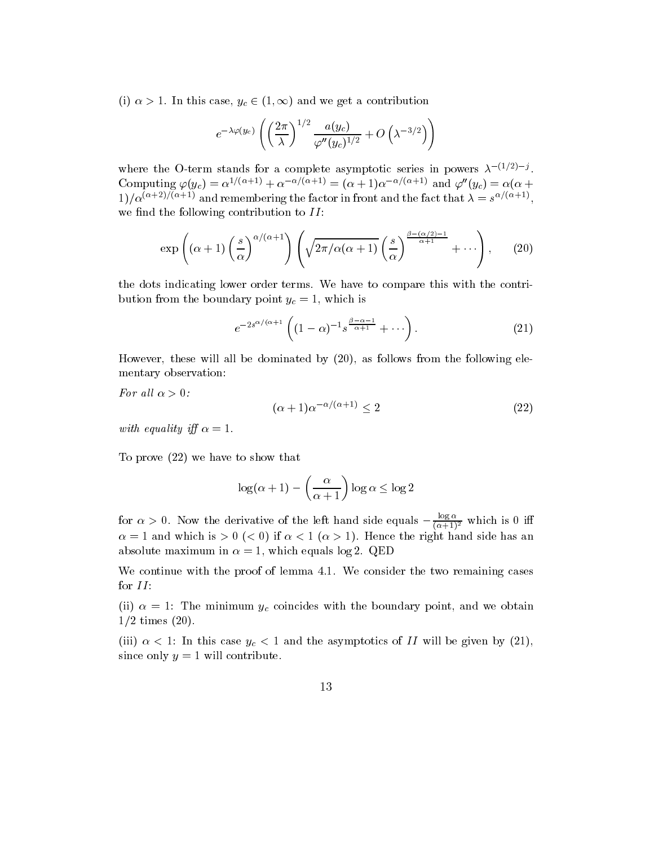(i)  $\alpha > 1$ . In this case,  $y_c \in (1,\infty)$  and we get a contribution

$$
e^{-\lambda\varphi(y_c)}\left(\left(\frac{2\pi}{\lambda}\right)^{1/2}\frac{a(y_c)}{\varphi''(y_c)^{1/2}}+O\left(\lambda^{-3/2}\right)\right)
$$

where the O-term stands for a complete asymptotic series in powers  $\lambda^{-(1/2)-j}$ . Computing  $\varphi(y_c) = \alpha^{1/(\alpha+1)} + \alpha^{-\alpha/(\alpha+1)} = (\alpha+1)\alpha^{-\alpha/(\alpha+1)}$  and  $\varphi''(y_c) = \alpha(\alpha+1)$  $1/\ell \alpha^{(2+\ell)}$ , and remembering the factor in front and the fact that  $\lambda = s^{2+\ell+1/2}$ , we find the following contribution to  $II$ :

$$
\exp\left((\alpha+1)\left(\frac{s}{\alpha}\right)^{\alpha/(\alpha+1)}\right)\left(\sqrt{2\pi/\alpha(\alpha+1)}\left(\frac{s}{\alpha}\right)^{\frac{\beta-(\alpha/2)-1}{\alpha+1}}+\cdots\right),\qquad(20)
$$

the dots indicating lower order terms. We have to compare this with the contribution from the boundary point  $y_c = 1$ , which is

$$
e^{-2s^{\alpha/(\alpha+1)}}\left((1-\alpha)^{-1}s^{\frac{\beta-\alpha-1}{\alpha+1}}+\cdots\right).
$$
 (21)

However, these will all be dominated by (20), as follows from the following elementary observation:

For all  $\alpha > 0$ :

$$
(\alpha + 1)\alpha^{-\alpha/(\alpha + 1)} \le 2\tag{22}
$$

with equality iff  $\alpha = 1$ .

To prove (22) we have to show that

$$
\log(\alpha + 1) - \left(\frac{\alpha}{\alpha + 1}\right) \log \alpha \le \log 2
$$

for  $\alpha > 0$ . Now the derivative of the left hand side equals  $-\frac{12}{(\alpha+1)^2}$  which is 0 iff  $\alpha = 1$  and which is  $> 0$  (< 0) if  $\alpha < 1$  ( $\alpha > 1$ ). Hence the right hand side has an absolute maximum in  $\alpha = 1$ , which equals log 2. QED

We continue with the proof of lemma 4.1. We consider the two remaining cases for  $II$ :

(ii)  $\alpha = 1$ : The minimum  $y_c$  coincides with the boundary point, and we obtain  $1/2 \;{\rm times}\; (20).$ 

(iii)  $\alpha$  < 1: In this case  $y_c$  < 1 and the asymptotics of II will be given by (21), since only  $y = 1$  will contribute.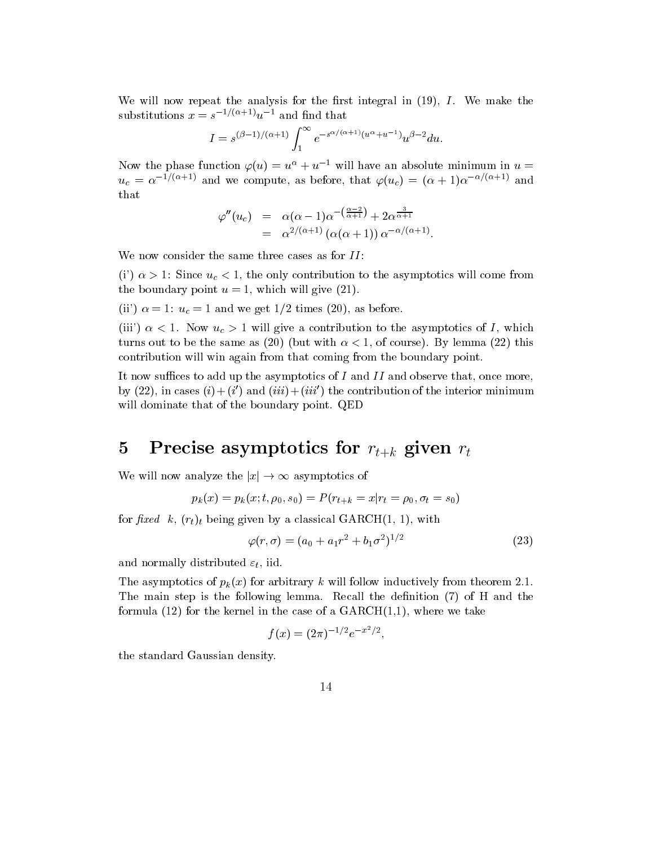We will now repeat the analysis for the first integral in  $(19)$ , I. We make the substitutions  $x = s^{-1/(\alpha+1)}u^{-1}$  and find that

$$
I = s^{(\beta - 1)/(\alpha + 1)} \int_{1}^{\infty} e^{-s^{\alpha/(\alpha + 1)} (u^{\alpha} + u^{-1})} u^{\beta - 2} du.
$$

Now the phase function  $\varphi(u) = u^{\alpha} + u^{-1}$  will have an absolute minimum in  $u =$  $u_c = \alpha^{-1/(\alpha+1)}$  and we compute, as before, that  $\varphi(u_c) = (\alpha+1)\alpha^{-\alpha/(\alpha+1)}$  and that

$$
\varphi''(u_c) = \alpha(\alpha - 1)\alpha^{-\left(\frac{\alpha - 2}{\alpha + 1}\right)} + 2\alpha^{\frac{3}{\alpha + 1}} \n= \alpha^{2/(\alpha + 1)}(\alpha(\alpha + 1))\alpha^{-\alpha/(\alpha + 1)}.
$$

We now consider the same three cases as for  $II$ :

(i')  $\alpha > 1$ : Since  $u_c < 1$ , the only contribution to the asymptotics will come from the boundary point  $u = 1$ , which will give (21).

(ii)  $\alpha = 1: u_c = 1$  and we get  $1/2$  times (20), as before.

(iii)  $\alpha$  < 1. Now  $u_c > 1$  will give a contribution to the asymptotics of I, which turns out to be the same as (20) (but with  $\alpha < 1$ , of course). By lemma (22) this contribution will win again from that coming from the boundary point.

It now suffices to add up the asymptotics of I and II and observe that, once more, by (22), in cases  $(i) + (i')$  and  $(iii) + (iii')$  the contribution of the interior minimum will dominate that of the boundary point. QED

#### Precise asymptotics for  $r_{t+k}$  given  $r_t$  $\overline{5}$

We will now analyze the  $|x| \to \infty$  asymptotics of

$$
p_k(x) = p_k(x; t, \rho_0, s_0) = P(r_{t+k} = x | r_t = \rho_0, \sigma_t = s_0)
$$

for fixed k,  $(r_t)_t$  being given by a classical GARCH(1, 1), with

$$
\varphi(r,\sigma) = (a_0 + a_1r^2 + b_1\sigma^2)^{1/2}
$$
\n(23)

and normally distributed  $\varepsilon_t$ , iid.

The asymptotics of  $p_k(x)$  for arbitrary k will follow inductively from theorem 2.1. The main step is the following lemma. Recall the definition  $(7)$  of H and the formula  $(12)$  for the kernel in the case of a  $GARCH(1,1)$ , where we take

$$
f(x) = (2\pi)^{-1/2} e^{-x^2/2},
$$

the standard Gaussian density.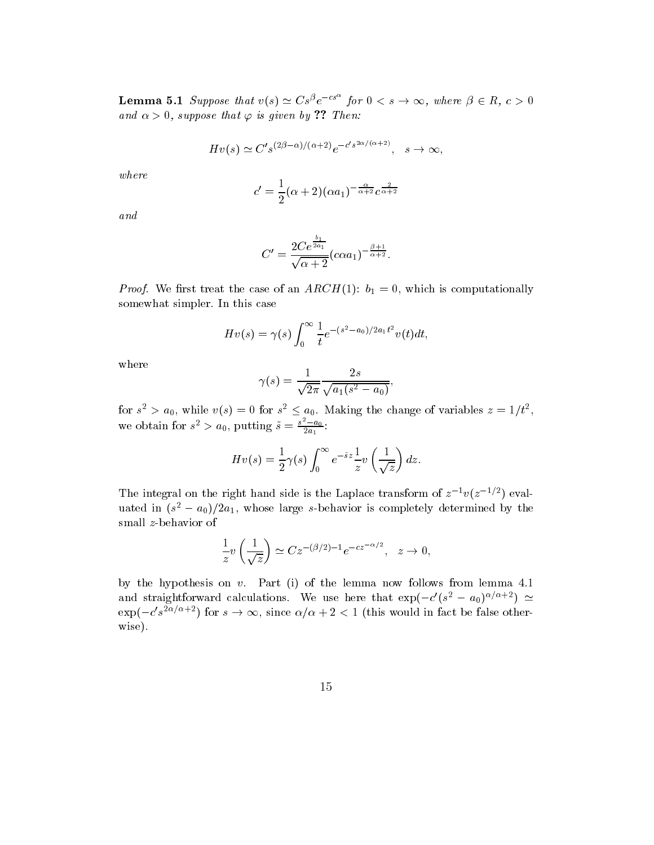**Lemma 5.1** Suppose that  $v(s) \simeq Cs^{\rho}e^{-cs}$  for  $0 \lt s \to \infty$ , where  $\beta \in R$ ,  $c > 0$ and  $\alpha > 0$ , suppose that  $\varphi$  is given by ?? Then:

$$
Hv(s) \simeq C' s^{(2\beta - \alpha)/(\alpha + 2)} e^{-c' s^{2\alpha/(\alpha + 2)}}, \quad s \to \infty,
$$

where

$$
c' = \frac{1}{2}(\alpha+2)(\alpha a_1)^{-\frac{\alpha}{\alpha+2}}c^{\frac{2}{\alpha+2}}
$$

and

$$
C' = \frac{2Ce^{\frac{b_1}{2a_1}}}{\sqrt{\alpha+2}} (c\alpha a_1)^{-\frac{\beta+1}{\alpha+2}}.
$$

 $\mathcal{P}$  and  $\mathcal{P}$  are case of an ARCH(1): bit case of an ARCH(1): b1  $\mathcal{P}$  , which is computationally and  $\mathcal{P}$ somewhat simpler. In this case

$$
Hv(s) = \gamma(s) \int_0^\infty \frac{1}{t} e^{-(s^2 - a_0)/2a_1 t^2} v(t) dt,
$$

where

$$
\gamma(s)=\frac{1}{\sqrt{2\pi}}\frac{2s}{\sqrt{a_1(s^2-a_0)}},
$$

for  $s^2 > a_0$ , while  $v(s) = 0$  for  $s^2 \le a_0$ . Making the change of variables  $z = 1/t^2$ , we obtain for  $s^2 > a_0$ , putting  $\tilde{s} = \frac{s - a_0}{2a_1}$ .

$$
Hv(s) = \frac{1}{2}\gamma(s)\int_0^\infty e^{-\tilde{s}z}\frac{1}{z}v\left(\frac{1}{\sqrt{z}}\right)dz.
$$

The integral on the right hand side is the Laplace transform of  $z^{-1}v(z^{-1/2})$  evaluated in  $(s^2 - a_0)/2a_1$ , whose large s-behavior is completely determined by the small z-behavior of

$$
\frac{1}{z}v\left(\frac{1}{\sqrt{z}}\right) \simeq Cz^{-(\beta/2)-1}e^{-cz^{-\alpha/2}}, \quad z \to 0,
$$

by the hypothesis on v. Part (i) of the lemma now follows from lemma 4.1 and straightforward calculations. We use here that  $\exp(-c'(s^2 - a_0)^{\alpha/\alpha+2}) \simeq$  $\exp(-c's^{2\alpha/\alpha+2})$  for  $s \to \infty$ , since  $\alpha/\alpha+2 < 1$  (this would in fact be false otherwise).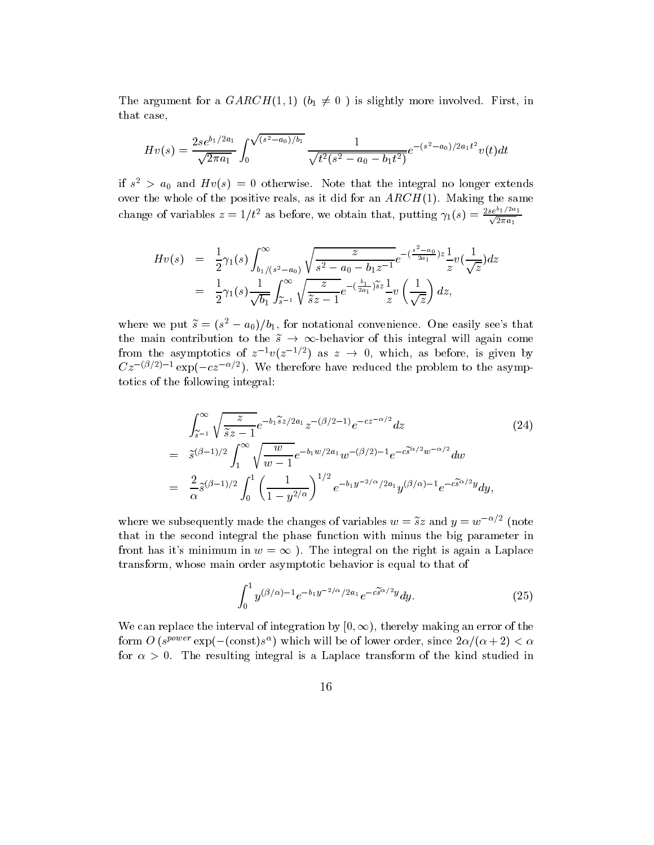The argument for a  $GARCH(1,1)$   $(b_1 \neq 0)$  is slightly more involved. First, in that case,

$$
Hv(s) = \frac{2se^{b_1/2a_1}}{\sqrt{2\pi a_1}} \int_0^{\sqrt{(s^2 - a_0)/b_1}} \frac{1}{\sqrt{t^2(s^2 - a_0 - b_1t^2)}} e^{-(s^2 - a_0)/2a_1t^2} v(t) dt
$$

if  $s^{-}$   $>$   $a_{0}$  and  $Hv(s)$   $=$  0 otherwise. Note that the integral no longer extends over the whole of the positive reals, as it did for an  $ARCH(1)$ . Making the same change of variables  $z = 1/t^2$  as before, we obtain that, putting  $\gamma_1(s) = \frac{zse^{-t/2}}{\sqrt{2\pi a_1}}$ 

$$
Hv(s) = \frac{1}{2}\gamma_1(s)\int_{b_1/(s^2-a_0)}^{\infty} \sqrt{\frac{z}{s^2-a_0-b_1z^{-1}}}e^{-(\frac{s^2-a_0}{2a_1})z}\frac{1}{z}v(\frac{1}{\sqrt{z}})dz
$$
  

$$
= \frac{1}{2}\gamma_1(s)\frac{1}{\sqrt{b_1}}\int_{\tilde{s}-1}^{\infty} \sqrt{\frac{z}{\tilde{s}z-1}}e^{-(\frac{b_1}{2a_1})\tilde{s}z}\frac{1}{z}v(\frac{1}{\sqrt{z}})dz,
$$

where we put  $\tilde{s} = (s^2 - a_0)/b_1$ , for notational convenience. One easily see's that the main contribution to the  $\tilde{s} \rightarrow \infty$ -behavior of this integral will again come from the asymptotics of  $z^{-1}v(z^{-1/2})$  as  $z \to 0$ , which, as before, is given by  $Cz^{-(p/2)-1}$  exp( $cz^{-\alpha/2}$ ). We therefore have reduced the problem to the asymptotics of the following integral:

$$
\int_{\tilde{s}-1}^{\infty} \sqrt{\frac{z}{\tilde{s}z-1}} e^{-b_1 \tilde{s}z/2a_1} z^{-(\beta/2-1)} e^{-cz^{-\alpha/2}} dz
$$
\n
$$
= \tilde{s}^{(\beta-1)/2} \int_{1}^{\infty} \sqrt{\frac{w}{w-1}} e^{-b_1 w/2a_1} w^{-(\beta/2)-1} e^{-c_2 \tilde{s}^{\alpha/2} w^{-\alpha/2}} dw
$$
\n
$$
= \frac{2}{\alpha} \tilde{s}^{(\beta-1)/2} \int_{0}^{1} \left(\frac{1}{1-y^{2/\alpha}}\right)^{1/2} e^{-b_1 y^{-2/\alpha}/2a_1} y^{(\beta/\alpha)-1} e^{-c_2 \tilde{s}^{\alpha/2} y} dy,
$$
\n(24)

where we subsequently made the changes of variables  $w = sz$  and  $y = w^{-\alpha/2}$  (note that in the second integral the phase function with minus the big parameter in front has it's minimum in  $w = \infty$ ). The integral on the right is again a Laplace transform, whose main order asymptotic behavior is equal to that of

$$
\int_0^1 y^{(\beta/\alpha)-1} e^{-b_1 y^{-2/\alpha}/2a_1} e^{-c\widetilde{s}^{\alpha/2} y} dy.
$$
 (25)

We can replace the interval of integration by  $[0,\infty)$ , thereby making an error of the form  $\mathcal{O}(s^2) = \exp(-(\text{const})s)$  which will be of lower order, since  $2\alpha/(\alpha + 2) \leq \alpha$ for  $\alpha > 0$ . The resulting integral is a Laplace transform of the kind studied in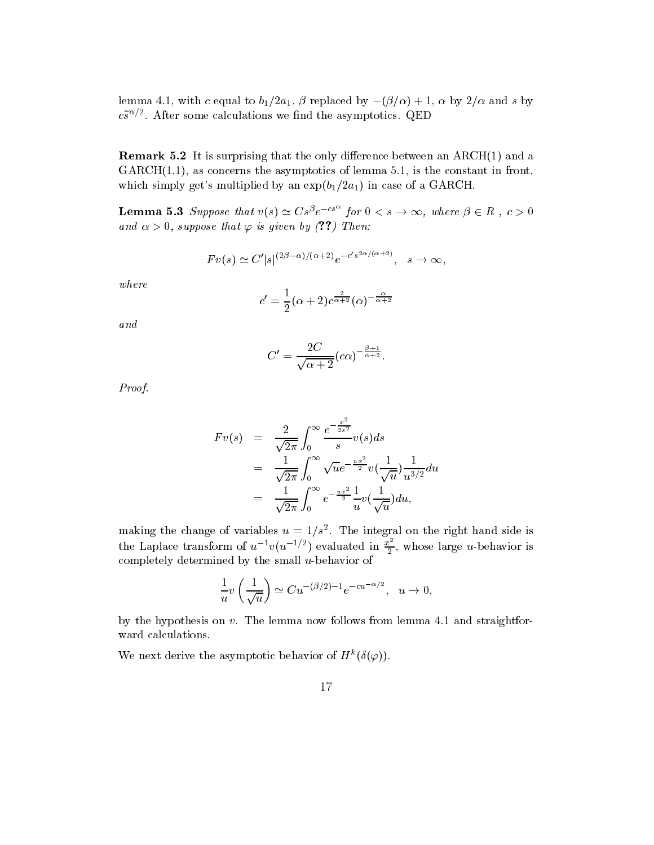iemma 4.1, with c equal to  $v_1/zu_1, \, \beta$  replaced by  $-(\beta/\alpha) + 1, \, \alpha$  by 2/ $\alpha$  and s by  $cs^{\sim}$  - After some calculations we find the asymptotics. QED

**Remark 5.2** It is surprising that the only difference between an  $\text{ARCH}(1)$  and a  $GARCH(1,1)$ , as concerns the asymptotics of lemma 5.1, is the constant in front, which simply get's multiplied by an  $\exp(b_1/2a_1)$  in case of a GARCH.

**Lemma 5.3** Suppose that  $v(s) \simeq Cs^{\rho}e^{-cs}$  for  $0 < s \to \infty$ , where  $\beta \in R$ ,  $c > 0$ and  $\alpha > 0$ , suppose that  $\varphi$  is given by (??) Then:

$$
Fv(s) \simeq C'|s|^{(2\beta-\alpha)/(\alpha+2)}e^{-c's^{2\alpha/(\alpha+2)}}, \quad s \to \infty,
$$

where

$$
c' = \frac{1}{2}(\alpha + 2)c^{\frac{2}{\alpha + 2}}(\alpha)^{-\frac{\alpha}{\alpha + 2}}
$$

and

$$
C' = \frac{2C}{\sqrt{\alpha + 2}} (c\alpha)^{-\frac{\beta + 1}{\alpha + 2}}.
$$

Proof.

$$
Fv(s) = \frac{2}{\sqrt{2\pi}} \int_0^\infty \frac{e^{-\frac{x^2}{2s^2}}}{s} v(s) ds
$$
  
= 
$$
\frac{1}{\sqrt{2\pi}} \int_0^\infty \sqrt{u} e^{-\frac{ux^2}{2}} v(\frac{1}{\sqrt{u}}) \frac{1}{u^{3/2}} du
$$
  
= 
$$
\frac{1}{\sqrt{2\pi}} \int_0^\infty e^{-\frac{ux^2}{2}} \frac{1}{u} v(\frac{1}{\sqrt{u}}) du,
$$

making the change of variables  $u = 1/s^2$ . The integral on the right hand side is the Laplace transform of  $u^{-1}v(u^{-1/2})$  evaluated in  $\frac{x}{2}$ , whose large u-behavior is completely determined by the small  $u$ -behavior of

$$
\frac{1}{u}v\left(\frac{1}{\sqrt{u}}\right) \simeq Cu^{-(\beta/2)-1}e^{-cu^{-\alpha/2}}, \quad u \to 0,
$$

by the hypothesis on  $v$ . The lemma now follows from lemma 4.1 and straightforward calculations.

we next derive the asymptotic behavior of  $H^{\alpha}(\theta(\varphi)).$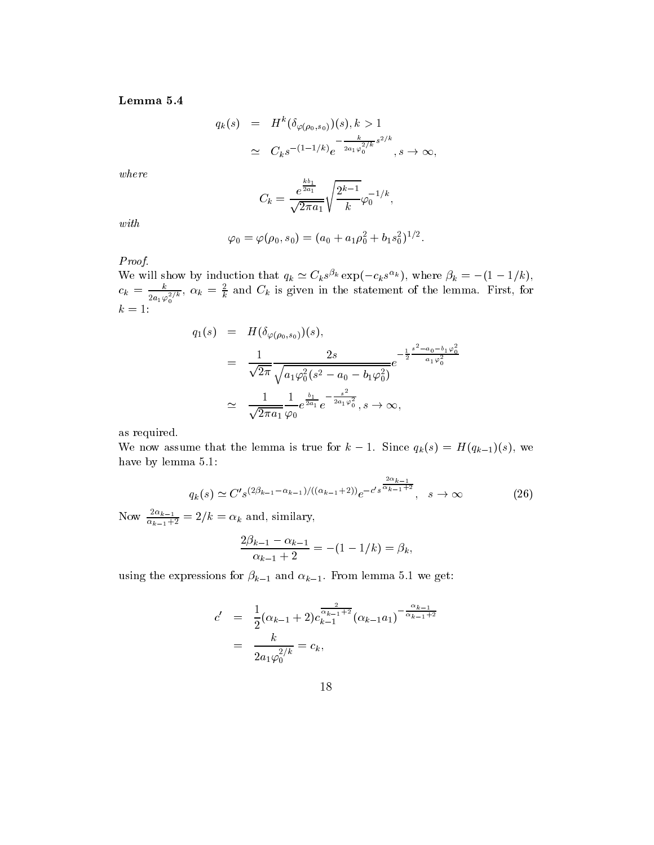### Lemma 5.4

$$
q_k(s) = H^k(\delta_{\varphi(\rho_0, s_0)})(s), k > 1
$$
  
 
$$
\simeq C_k s^{-(1-1/k)} e^{-\frac{k}{2a_1\varphi_0^{2/k}}s^{2/k}}, s \to \infty,
$$

where

$$
C_k = \frac{e^{\frac{kb_1}{2a_1}}}{\sqrt{2\pi a_1}} \sqrt{\frac{2^{k-1}}{k}} \varphi_0^{-1/k},
$$

with

$$
\varphi_0=\varphi(\rho_0,s_0)=(a_0+a_1\rho_0^2+b_1s_0^2)^{1/2}.
$$

Proof.

We will show by induction that  $q_k \simeq C_k s^{\kappa} \exp(-c_k s^{\kappa}$ , where  $\beta_k = -(1-1/k)$ ,  $c_k = \frac{1}{2a_1\varphi_0^{2/k}}, \alpha_k =$ ,  $\alpha_k$  =  $\frac{1}{k}$  and  $C_k$  is given in the statement of the lemma. First, for

$$
q_1(s) = H(\delta_{\varphi(\rho_0, s_0)})(s),
$$
  
\n
$$
= \frac{1}{\sqrt{2\pi}} \frac{2s}{\sqrt{a_1\varphi_0^2(s^2 - a_0 - b_1\varphi_0^2)}} e^{-\frac{1}{2} \frac{s^2 - a_0 - b_1\varphi_0^2}{a_1\varphi_0^2}}
$$
  
\n
$$
\simeq \frac{1}{\sqrt{2\pi a_1}} \frac{1}{\varphi_0} e^{\frac{b_1}{2a_1}} e^{-\frac{s^2}{2a_1\varphi_0^2}}, s \to \infty,
$$

as required.

We now assume that the lemma is true for  $k - 1$ . Since  $q_k(s) = H(q_{k-1})(s)$ , we have by lemma 5.1:

$$
q_k(s) \simeq C' s^{(2\beta_{k-1} - \alpha_{k-1})/((\alpha_{k-1} + 2))} e^{-c' s^{\frac{2\alpha_{k-1}}{\alpha_{k-1} + 2}}}, \quad s \to \infty
$$
 (26)

Now  $\frac{1}{\alpha_{k-1}+2} = 2/k = \alpha_k$  and, similary,

$$
\frac{2\beta_{k-1} - \alpha_{k-1}}{\alpha_{k-1} + 2} = -(1 - 1/k) = \beta_k,
$$

using the expressions for  $\beta_{k-1}$  and  $\alpha_{k-1}$ . From lemma 5.1 we get:

$$
c' = \frac{1}{2} (\alpha_{k-1} + 2) c_{k-1}^{\frac{2}{\alpha_{k-1}+2}} (\alpha_{k-1} a_1)^{-\frac{\alpha_{k-1}}{\alpha_{k-1}+2}}
$$
  
= 
$$
\frac{k}{2a_1 \varphi_0^{2/k}} = c_k,
$$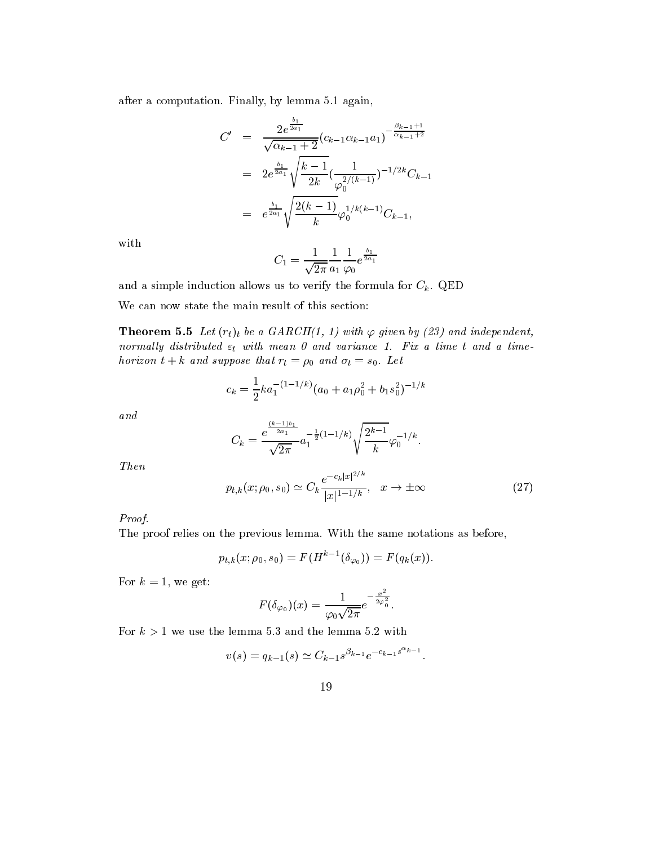after a computation. Finally, by lemma 5.1 again,

$$
C' = \frac{2e^{\frac{b_1}{2a_1}}}{\sqrt{\alpha_{k-1} + 2}} (c_{k-1}\alpha_{k-1}a_1)^{-\frac{\beta_{k-1}+1}{\alpha_{k-1}+2}}
$$
  
= 
$$
2e^{\frac{b_1}{2a_1}} \sqrt{\frac{k-1}{2k}} (\frac{1}{\varphi_0^{2/(k-1)}})^{-1/2k} C_{k-1}
$$
  
= 
$$
e^{\frac{b_1}{2a_1}} \sqrt{\frac{2(k-1)}{k}} \varphi_0^{1/k(k-1)} C_{k-1},
$$

with

$$
C_1 = \frac{1}{\sqrt{2\pi}} \frac{1}{a_1} \frac{1}{\varphi_0} e^{\frac{b_1}{2a_1}}
$$

and a simple induction allows us to verify the formula for  $C_k$ . QED

We can now state the main result of this section:

**Theorem 5.5** Let  $(r_t)_t$  be a GARCH(1, 1) with  $\varphi$  given by (23) and independent, normally distributed  $\varepsilon_t$  with mean 0 and variance 1. Fix a time t and a timehorizon  $t + k$  and suppose that  $r_t = \rho_0$  and  $\sigma_t = s_0$ . Let

$$
c_k = \frac{1}{2}ka_1^{-(1-1/k)}(a_0 + a_1\rho_0^2 + b_1s_0^2)^{-1/k}
$$

and

$$
C_k = \frac{e^{\frac{(k-1)b_1}{2a_1}}}{\sqrt{2\pi}} a_1^{-\frac{1}{2}(1-1/k)} \sqrt{\frac{2^{k-1}}{k}} \varphi_0^{-1/k}.
$$

Then

$$
p_{t,k}(x; \rho_0, s_0) \simeq C_k \frac{e^{-c_k |x|^{2/k}}}{|x|^{1-1/k}}, \quad x \to \pm \infty
$$
 (27)

Proof.

The proof relies on the previous lemma. With the same notations as before,

$$
p_{t,k}(x; \rho_0, s_0) = F(H^{k-1}(\delta_{\varphi_0})) = F(q_k(x)).
$$

For  $k = 1$ , we get:

$$
F(\delta_{\varphi_0})(x) = \frac{1}{\varphi_0 \sqrt{2\pi}} e^{-\frac{x^2}{2\varphi_0^2}}.
$$

For  $k > 1$  we use the lemma 5.3 and the lemma 5.2 with

$$
v(s) = q_{k-1}(s) \simeq C_{k-1} s^{\beta_{k-1}} e^{-c_{k-1} s^{\alpha_{k-1}}}.
$$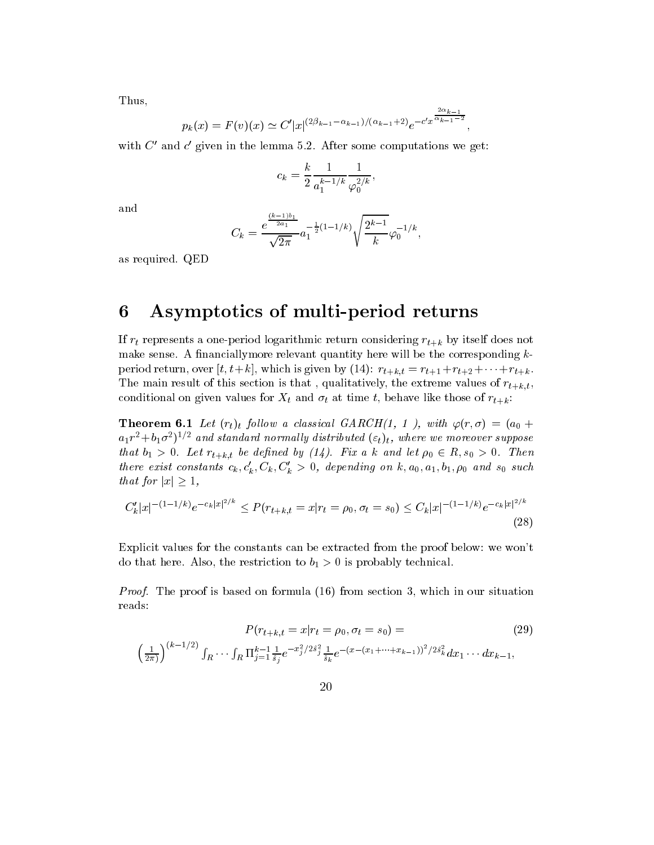Thus,

$$
p_k(x) = F(v)(x) \simeq C'|x|^{(2\beta_{k-1}-\alpha_{k-1})/(\alpha_{k-1}+2)}e^{-c'x^{\frac{2\alpha_{k-1}}{\alpha_{k-1}-2}}},
$$

with  $C'$  and  $c'$  given in the lemma 5.2. After some computations we get:

$$
c_k = \frac{k}{2} \frac{1}{a_1^{k-1/k}} \frac{1}{\varphi_0^{2/k}},
$$

and

$$
C_k = \frac{e^{\frac{(k-1)b_1}{2a_1}}}{\sqrt{2\pi}} a_1^{-\frac{1}{2}(1-1/k)} \sqrt{\frac{2^{k-1}}{k}} \varphi_0^{-1/k},
$$

as required. QED

## 6 Asymptotics of multi-period returns

If  $r_t$  represents a one-period logarithmic return considering  $r_{t+k}$  by itself does not make sense. A financiallymore relevant quantity here will be the corresponding  $k$ period return, over  $[t, t+k]$ , which is given by (14):  $r_{t+k,t} = r_{t+1} + r_{t+2} + \cdots + r_{t+k}$ . The main result of this section is that, qualitatively, the extreme values of  $r_{t+k,t}$ , conditional on given values for  $X_t$  and  $\sigma_t$  at time t, behave like those of  $r_{t+k}$ :

**Theorem 6.1** Let  $(r_t)_t$  follow a classical GARCH(1, 1), with  $\varphi(r, \sigma) = (a_0 +$  $a_1$ r- $+$ o $_1$ o- $)$ - $^{\prime}$ - and standard normally aistributed ( $\varepsilon_t$ ) $_t$ , where we moreover suppose that  $b_1 > 0$ . Let  $r_{t+k,t}$  be defined by (14). Fix a k and let  $\rho_0 \in R, s_0 > 0$ . Then there exist constants  $c_k, c'_k, C_k, C'_k > 0$ , depending on  $k, a_0, a_1, b_1, \rho_0$  and  $s_0$  such that for  $|x| \geq 1$ ,

$$
C'_{k}|x|^{-(1-1/k)}e^{-c_{k}|x|^{2/k}} \le P(r_{t+k,t}=x|r_{t}=\rho_{0},\sigma_{t}=s_{0}) \le C_{k}|x|^{-(1-1/k)}e^{-c_{k}|x|^{2/k}}
$$
\n(28)

Explicit values for the constants can be extracted from the proof below: we won't do that here is the restriction to the restriction to b1  $\epsilon$  . We have the restriction to binary technical.

Proof. The proof is based on formula (16) from section 3, which in our situation reads:

$$
P(r_{t+k,t} = x | r_t = \rho_0, \sigma_t = s_0) =
$$
\n
$$
\left(\frac{1}{2\pi}\right)^{(k-1/2)} \int_R \cdots \int_R \Pi_{j=1}^{k-1} \frac{1}{\hat{s}_j} e^{-x_j^2/2\hat{s}_j^2} \frac{1}{\hat{s}_k} e^{-(x - (x_1 + \cdots + x_{k-1}))^2/2\hat{s}_k^2} dx_1 \cdots dx_{k-1},
$$
\n(29)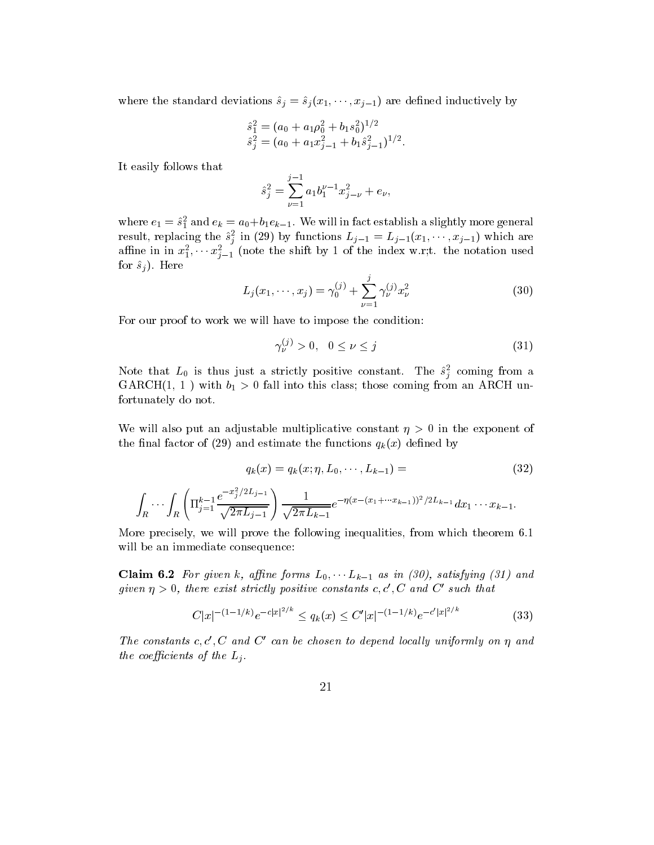where the standard deviations  $\hat{s}_j = \hat{s}_j (x_1, \dots, x_{j-1})$  are defined inductively by

$$
\begin{array}{ll} \hat{s}_1^2=(a_0+a_1\rho_0^2+b_1 s_0^2)^{1/2}\\ \hat{s}_j^2=(a_0+a_1x_{j-1}^2+b_1\hat{s}_{j-1}^2)^{1/2}.\end{array}
$$

It easily follows that

$$
\hat{s}_j^2 = \sum_{\nu=1}^{j-1} a_1 b_1^{\nu-1} x_{j-\nu}^2 + e_{\nu},
$$

where  $e_1 = s_1^-$  and  $e_k = a_0+o_1e_{k-1}$ . We will in fact establish a slightly more general result, replacing the  $\hat{s}_j^2$  in (29) by functions  $L_{j-1} = L_{j-1}(x_1,\dots, x_{j-1})$  which are amne in in  $x_1^*, \cdots x_{i-1}^*$  (note the shift by 1 of the index w.r;t. the notation used for  $\hat{s}_i$ ). Here

$$
L_j(x_1, \dots, x_j) = \gamma_0^{(j)} + \sum_{\nu=1}^j \gamma_\nu^{(j)} x_\nu^2 \tag{30}
$$

For our proof to work we will have to impose the condition:

$$
\gamma_{\nu}^{(j)} > 0, \quad 0 \le \nu \le j \tag{31}
$$

Note that  $L_0$  is thus just a strictly positive constant. The  $s^2_j$  coming from a GARCH(1, 1 ) with b1 <sup>&</sup>gt; <sup>0</sup> fall into this class; those coming from an ARCH unfortunately do not.

We will also put an adjustable multiplicative constant  $\eta > 0$  in the exponent of the final factor of (29) and estimate the functions  $q_k(x)$  defined by

$$
q_k(x) = q_k(x; \eta, L_0, \cdots, L_{k-1}) = \tag{32}
$$

$$
\int_R \cdots \int_R \left( \prod_{j=1}^{k-1} \frac{e^{-x_j^2/2L_{j-1}}}{\sqrt{2\pi L_{j-1}}} \right) \frac{1}{\sqrt{2\pi L_{k-1}}} e^{-\eta (x-(x_1+\cdots x_{k-1}))^2/2L_{k-1}} dx_1 \cdots x_{k-1}.
$$

More precisely, we will prove the following inequalities, from which theorem 6.1 will be an immediate consequence:

**Claim 6.2** For given k, affine forms  $L_0$ ,  $\cdots$   $L_{k-1}$  as in (30), satisfying (31) and given  $\eta > 0$ , there exist strictly positive constants c, c', C and C' such that

$$
C|x|^{-(1-1/k)}e^{-c|x|^{2/k}} \le q_k(x) \le C'|x|^{-(1-1/k)}e^{-c'|x|^{2/k}} \tag{33}
$$

The constants c, c', C and C' can be chosen to depend locally uniformly on  $\eta$  and the coefficients of the  $L_i$ .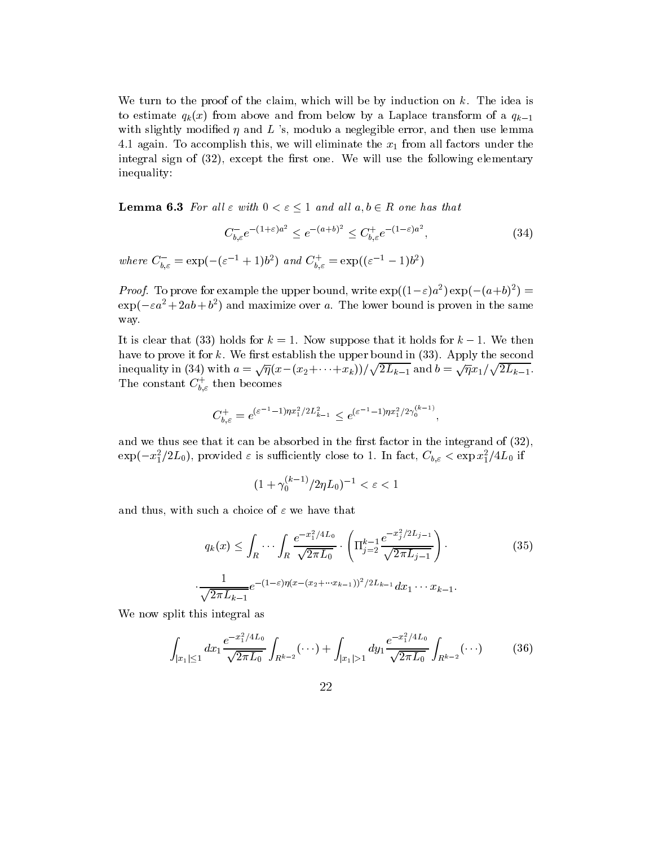We turn to the proof of the claim, which will be by induction on  $k$ . The idea is to estimate  $q_k(x)$  from above and from below by a Laplace transform of a  $q_{k-1}$ with slightly modified  $\eta$  and L 's, modulo a neglegible error, and then use lemma  $\mathbf{1}$ . To accomplish this, we will eliminate this, we will factor under the x1 from all factors under the x1 from all factors under the x1 from all factors under the x1 from all factors under the x1 from all factors un integral sign of  $(32)$ , except the first one. We will use the following elementary inequality:

**Lemma 6.3** For all  $\varepsilon$  with  $0 < \varepsilon \leq 1$  and all  $a, b \in R$  one has that

$$
C_{b,\varepsilon}^{-}e^{-(1+\varepsilon)a^{2}} \le e^{-(a+b)^{2}} \le C_{b,\varepsilon}^{+}e^{-(1-\varepsilon)a^{2}},
$$
\n(34)

where  $C_{b,\varepsilon}^- = \exp(-(\varepsilon^{-1} + 1)b^2)$  and  $C_{b,\varepsilon}^+ = \exp((\varepsilon^{-1} - 1)b^2)$ 

Proof. To prove for example the upper bound, write  $\exp((1-\varepsilon)a^{\perp})\exp(-(a+b)^{\perp})=$  $\exp(-\varepsilon a^2 + 2 a b + b^2)$  and maximize over  $a$ . The lower bound is proven in the same way.

It is clear that (33) holds for  $k = 1$ . Now suppose that it holds for  $k - 1$ . We then have to prove it for  $k$ . We first establish the upper bound in  $(33)$ . Apply the second inequality in (34) with  $a = \sqrt{\eta(x-(x_2+\cdots+x_k))/\sqrt{2L_{k-1}}}$  and  $b = \sqrt{\eta x_1/\sqrt{2L_{k-1}}}$ . The constant  $C_{b,\varepsilon}^+$  then becomes

$$
C_{b,\varepsilon}^+ = e^{(\varepsilon^{-1}-1)\eta x_1^2/2L_{k-1}^2} \le e^{(\varepsilon^{-1}-1)\eta x_1^2/2\gamma_0^{(k-1)}},
$$

and we thus see that it can be absorbed in the first factor in the integrand of  $(32)$ ,  $\exp(-x_1^2/2L_0)$ , provided  $\varepsilon$  is sumclently close to 1. In fact,  $C_{b,\varepsilon} < \exp x_1^2/4L_0$  if

$$
(1+\gamma_0^{(k-1)}/2\eta L_0)^{-1} < \varepsilon < 1
$$

and thus, with such a choice of  $\varepsilon$  we have that

$$
q_k(x) \leq \int_R \cdots \int_R \frac{e^{-x_1^2/4L_0}}{\sqrt{2\pi L_0}} \cdot \left( \prod_{j=2}^{k-1} \frac{e^{-x_j^2/2L_{j-1}}}{\sqrt{2\pi L_{j-1}}} \right) \cdot \tag{35}
$$

$$
\frac{1}{\sqrt{2\pi L_{k-1}}} e^{-(1-\varepsilon)\eta(x-(x_2+\cdots x_{k-1}))^2/2L_{k-1}} dx_1 \cdots x_{k-1}.
$$

We now split this integral as

$$
\int_{|x_1| \le 1} dx_1 \frac{e^{-x_1^2/4L_0}}{\sqrt{2\pi L_0}} \int_{R^{k-2}} (\cdots) + \int_{|x_1| > 1} dy_1 \frac{e^{-x_1^2/4L_0}}{\sqrt{2\pi L_0}} \int_{R^{k-2}} (\cdots)
$$
 (36)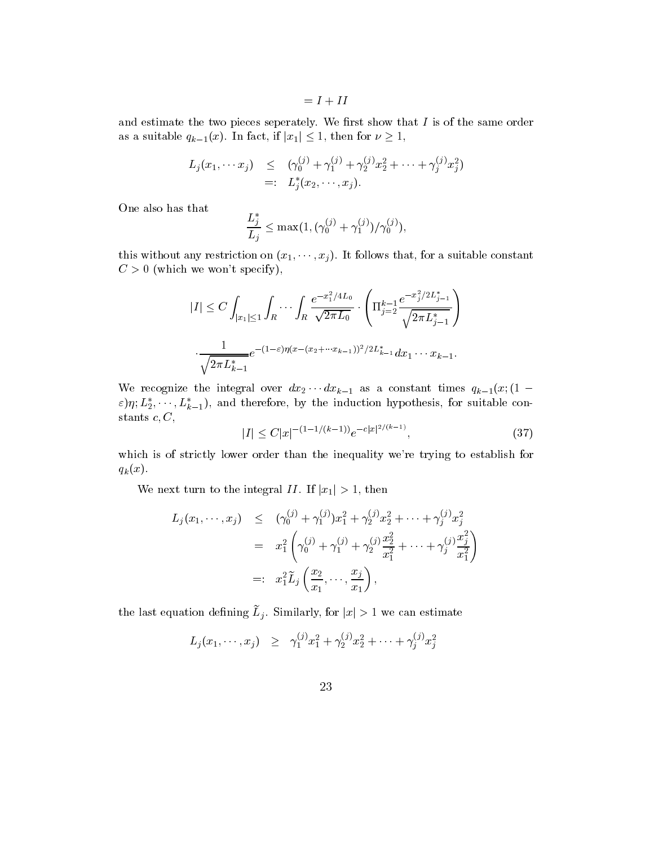$= I + II$ 

and estimate the two pieces seperately. We first show that  $I$  is of the same order as a suitable  $q_{k-1}(x)$ . In fact, if  $|x_1| \leq 1$ , then for  $\nu \geq 1$ ,

$$
L_j(x_1, \dots, x_j) \leq (\gamma_0^{(j)} + \gamma_1^{(j)} + \gamma_2^{(j)} x_2^2 + \dots + \gamma_j^{(j)} x_j^2)
$$
  
=:  $L_j^*(x_2, \dots, x_j)$ .

One also has that

$$
\frac{L_j^*}{L_j} \le \max(1, (\gamma_0^{(j)} + \gamma_1^{(j)}) / \gamma_0^{(j)}),
$$

this without any restriction on  $(x_1, \dots, x_j)$ . It follows that, for a suitable constant  $C > 0$  (which we won't specify),

$$
|I| \leq C \int_{|x_1| \leq 1} \int_R \cdots \int_R \frac{e^{-x_1^2/4L_0}}{\sqrt{2\pi L_0}} \cdot \left( \prod_{j=2}^{k-1} \frac{e^{-x_j^2/2L_{j-1}^*}}{\sqrt{2\pi L_{j-1}^*}} \right)
$$

$$
\cdot \frac{1}{\sqrt{2\pi L_{k-1}^*}} e^{-(1-\varepsilon)\eta(x-(x_2+\cdots x_{k-1}))^2/2L_{k-1}^*} dx_1 \cdots x_{k-1}.
$$

We recognize the integral over  $ax_2 \cdots ax_{k-1}$  as a constant times  $q_{k-1}(x;$  (1  $\varepsilon$ ) $\eta$ ;  $L_2^*, \cdots, L_{k-1}^*$ ), and therefore, by the induction hypothesis, for suitable constants  $c, C$ ,

$$
|I| \le C|x|^{-(1-1/(k-1))}e^{-c|x|^{2/(k-1)}},\tag{37}
$$

which is of strictly lower order than the inequality we're trying to establish for  $q_k(x)$ .

We next turn to the integral II. If  $|x_1| > 1$ , then

$$
L_j(x_1, \dots, x_j) \leq (\gamma_0^{(j)} + \gamma_1^{(j)}) x_1^2 + \gamma_2^{(j)} x_2^2 + \dots + \gamma_j^{(j)} x_j^2
$$
  
=  $x_1^2 \left( \gamma_0^{(j)} + \gamma_1^{(j)} + \gamma_2^{(j)} \frac{x_2^2}{x_1^2} + \dots + \gamma_j^{(j)} \frac{x_j^2}{x_1^2} \right)$   
=:  $x_1^2 \tilde{L}_j \left( \frac{x_2}{x_1}, \dots, \frac{x_j}{x_1} \right),$ 

the last equation defining  $L_i$ . Similarly, for  $|x| > 1$  we can estimate

$$
L_j(x_1, \dots, x_j) \geq \gamma_1^{(j)} x_1^2 + \gamma_2^{(j)} x_2^2 + \dots + \gamma_j^{(j)} x_j^2
$$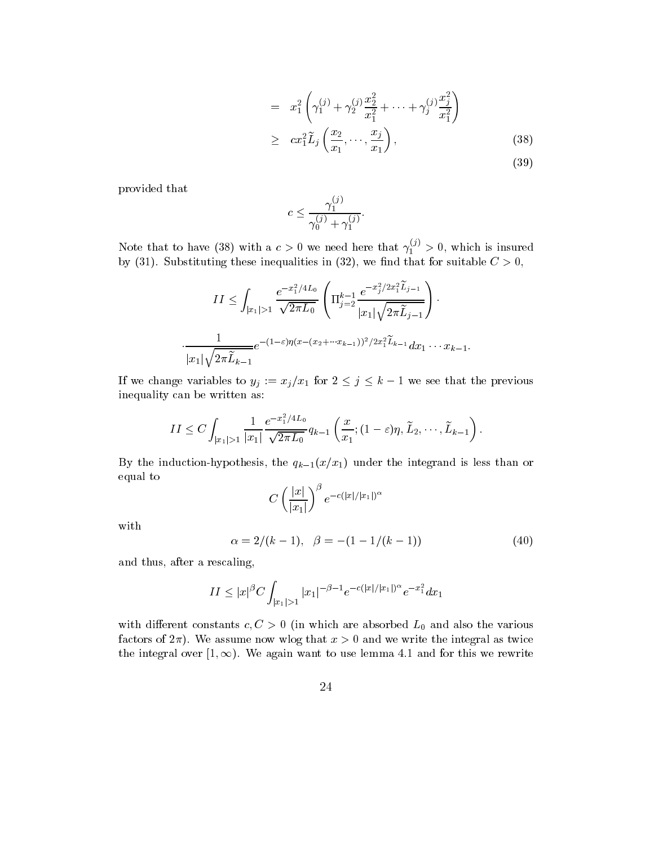$$
= x_1^2 \left( \gamma_1^{(j)} + \gamma_2^{(j)} \frac{x_2^2}{x_1^2} + \dots + \gamma_j^{(j)} \frac{x_j^2}{x_1^2} \right)
$$
  
\n
$$
\geq cx_1^2 \tilde{L}_j \left( \frac{x_2}{x_1}, \dots, \frac{x_j}{x_1} \right),
$$
  
\n(38)

provided that

$$
c\leq \frac{\gamma_1^{(j)}}{\gamma_0^{(j)}+\gamma_1^{(j)}}.
$$

Note that to have (38) with a  $c > 0$  we need here that  $\gamma_1^{(1)} > 0$ ,  $1$  and  $0$  and  $0$  and  $0$  which is insured insured insured in the  $1$ by (31). Substituting these inequalities in (32), we nd that for suitable C > 0,

$$
II \leq \int_{|x_1|>1} \frac{e^{-x_1^2/4L_0}}{\sqrt{2\pi L_0}} \left( \prod_{j=2}^{k-1} \frac{e^{-x_j^2/2x_1^2 \widetilde{L}_{j-1}}}{|x_1|\sqrt{2\pi \widetilde{L}_{j-1}}} \right) \cdot \frac{1}{|x_1|\sqrt{2\pi \widetilde{L}_{k-1}}} e^{-(1-\varepsilon)\eta(x-(x_2+\cdots x_{k-1}))^2/2x_1^2 \widetilde{L}_{k-1}} dx_1 \cdots x_{k-1}.
$$

If we change variables to  $y_j := x_j / x_1$  for  $2 \leq j \leq k - 1$  we see that the previous inequality can be written as:

$$
II \leq C \int_{|x_1|>1} \frac{1}{|x_1|} \frac{e^{-x_1^2/4L_0}}{\sqrt{2\pi L_0}} q_{k-1}\left(\frac{x}{x_1};(1-\varepsilon)\eta,\widetilde{L}_2,\cdots,\widetilde{L}_{k-1}\right).
$$

By the induction-hypothesis, the  $q_{k-1}(x/x_1)$  under the integrand is less than or equal to

$$
C\left(\frac{|x|}{|x_1|}\right)^{\beta}e^{-c(|x|/|x_1|)^{\alpha}}
$$

with

$$
\alpha = 2/(k-1), \quad \beta = -(1 - 1/(k-1)) \tag{40}
$$

and thus, after a rescaling,

$$
II \leq |x|^{\beta} C \int_{|x_1|>1} |x_1|^{-\beta-1} e^{-c(|x|/|x_1|)^{\alpha}} e^{-x_1^2} dx_1
$$

with dierent constants constants constants constants constants  $\mathbf{0}$ factors of  $2\pi$ ). We assume now wlog that  $x > 0$  and we write the integral as twice the integral over  $[1,\infty)$ . We again want to use lemma 4.1 and for this we rewrite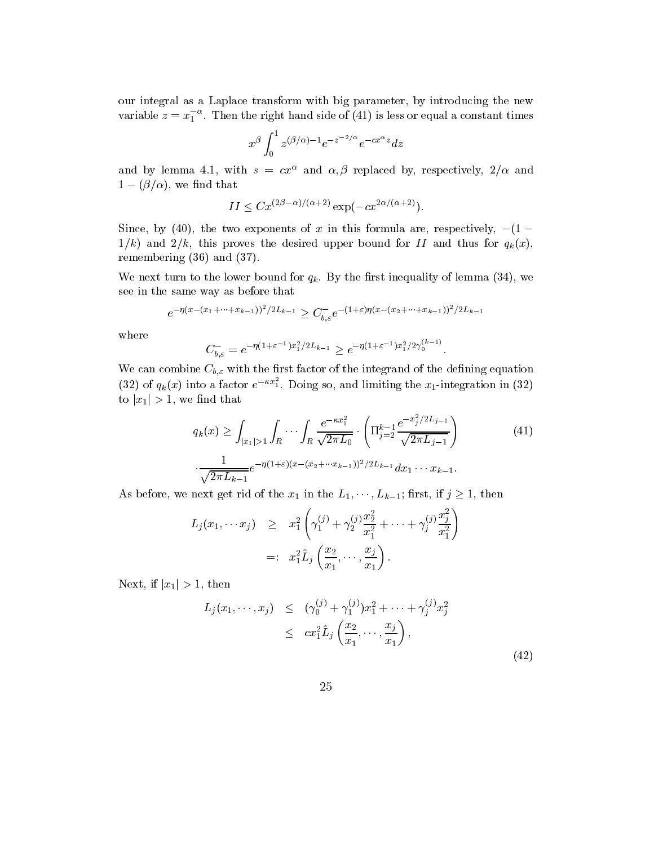our integral as a Laplace transform with big parameter, by introducing the new variable  $z = x_1^{-\alpha}$ . Then the right hand side of (41) is less or equal a constant times

$$
x^\beta \int_0^1 z^{(\beta/\alpha)-1} e^{-z^{-2/\alpha}} e^{-cx^\alpha z} dz
$$

and by lemma 4.1, with  $s = cx$  and  $\alpha, \beta$  replaced by, respectively,  $Z/\alpha$  and  $1 - (\beta/\alpha)$ , we find that

$$
II \le Cx^{(2\beta - \alpha)/(\alpha + 2)} \exp(-cx^{2\alpha/(\alpha + 2)}).
$$

Since, by (40), the two exponents of x in this formula are, respectively,  $-(1 1/k$ ) and  $2/k$ , this proves the desired upper bound for II and thus for  $q_k(x)$ , remembering (36) and (37).

We next turn to the lower bound for  $q_k$ . By the first inequality of lemma (34), we see in the same way as before that

$$
e^{-\eta(x-(x_1+\cdots+x_{k-1}))^2/2L_{k-1}} \geq C_{b,\varepsilon}^{-}e^{-(1+\varepsilon)\eta(x-(x_2+\cdots+x_{k-1}))^2/2L_{k-1}}
$$

where

$$
C_{b,\varepsilon}^{-} = e^{-\eta(1+\varepsilon^{-1})x_1^2/2L_{k-1}} \ge e^{-\eta(1+\varepsilon^{-1})x_1^2/2\gamma_0^{(k-1)}}.
$$

We can combine  $C_{b,\varepsilon}$  with the first factor of the integrand of the defining equation  $(32)$  of  $q_k(x)$  into a factor  $e^{-\kappa x}$ . Doing so, and limiting the  $x_1$ -integration in  $(32)$ to  $|x_1| > 1$ , we find that

$$
q_k(x) \ge \int_{|x_1|>1} \int_R \cdots \int_R \frac{e^{-\kappa x_1^2}}{\sqrt{2\pi L_0}} \cdot \left( \prod_{j=2}^{k-1} \frac{e^{-x_j^2/2L_{j-1}}}{\sqrt{2\pi L_{j-1}}} \right)
$$
  

$$
\cdot \frac{1}{\sqrt{2\pi L_{k-1}}} e^{-\eta (1+\varepsilon)(x-(x_2+\cdots x_{k-1}))^2/2L_{k-1}} dx_1 \cdots x_{k-1}.
$$
 (41)

As before, we next get rid of the  $x_1$  in the  $L_1, \dots, L_{k-1}$ ; first, if  $j \geq 1$ , then

$$
L_j(x_1, \dots, x_j) \geq x_1^2 \left( \gamma_1^{(j)} + \gamma_2^{(j)} \frac{x_2^2}{x_1^2} + \dots + \gamma_j^{(j)} \frac{x_j^2}{x_1^2} \right)
$$
  
=:  $x_1^2 \hat{L}_j \left( \frac{x_2}{x_1}, \dots, \frac{x_j}{x_1} \right).$ 

Next, if  $|x_1| > 1$ , then

$$
L_j(x_1, \dots, x_j) \le (\gamma_0^{(j)} + \gamma_1^{(j)}) x_1^2 + \dots + \gamma_j^{(j)} x_j^2
$$
  
 
$$
\le c x_1^2 \hat{L}_j \left( \frac{x_2}{x_1}, \dots, \frac{x_j}{x_1} \right), \tag{42}
$$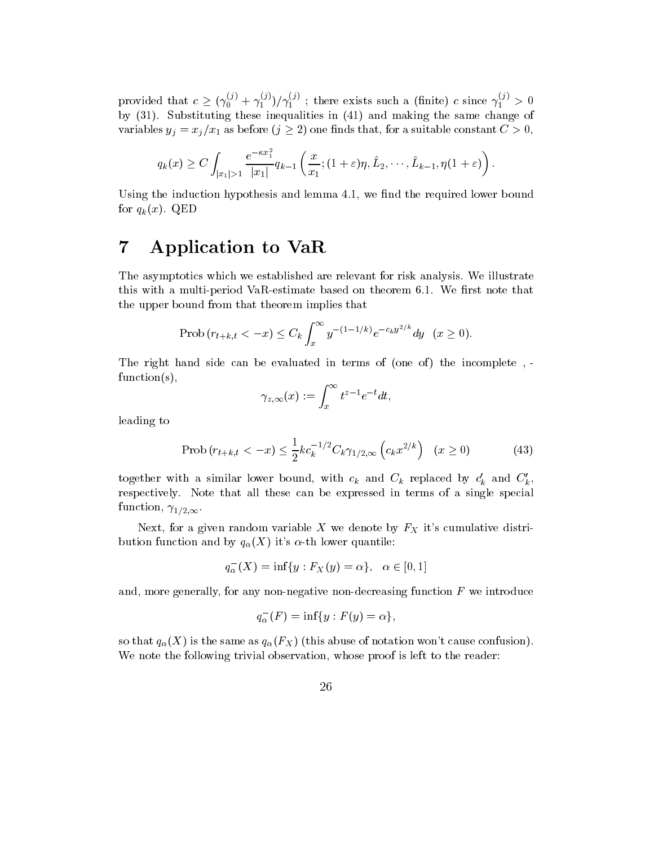provided that  $c \ge (\gamma_0^{(j)} + \gamma_1^{(j)})/\gamma_1^{(j)}$ ; there exists such a (finite) c since  $\gamma_1^{(j)} > 0$ by (31). Substituting these inequalities in (41) and making the same change of variables  $y_j = x_j/x_1$  as before  $(j \geq 2)$  one finds that, for a suitable constant  $C > 0$ ,

$$
q_k(x) \ge C \int_{|x_1|>1} \frac{e^{-\kappa x_1^2}}{|x_1|} q_{k-1} \left(\frac{x}{x_1}; (1+\varepsilon)\eta, \hat{L}_2, \cdots, \hat{L}_{k-1}, \eta(1+\varepsilon)\right).
$$

Using the induction hypothesis and lemma 4.1, we find the required lower bound for  $q_k(x)$ . QED

# 7 Application to VaR

The asymptotics which we established are relevant for risk analysis. We illustrate this with a multi-period VaR-estimate based on theorem 6.1. We first note that the upper bound from that theorem implies that

$$
\text{Prob}(r_{t+k,t} < -x) \le C_k \int_x^\infty y^{-(1-1/k)} e^{-c_k y^{2/k}} dy \quad (x \ge 0).
$$

The right hand side can be evaluated in terms of (one of) the incomplete, function(s),

$$
\gamma_{z,\infty}(x):=\int_x^\infty t^{z-1}e^{-t}dt,
$$

leading to

$$
\text{Prob}\left(r_{t+k,t} < -x\right) \le \frac{1}{2} k c_k^{-1/2} C_k \gamma_{1/2,\infty} \left(c_k x^{2/k}\right) \quad (x \ge 0) \tag{43}
$$

together with a similar lower bound, with  $c_k$  and  $C_k$  replaced by  $c'_k$  and  $C'_k$ , respectively. Note that all these can be expressed in terms of a single special function,  $\gamma_{1/2,\infty}$ .

Next, for a given random variable X we denote by  $F_X$  it's cumulative distribution function and by  $q_{\alpha}(X)$  it's  $\alpha$ -th lower quantile:

$$
q_{\alpha}^-(X)=\inf\{y: F_X(y)=\alpha\},\quad \alpha\in[0,1]
$$

and, more generally, for any non-negative non-decreasing function  $F$  we introduce

$$
q_{\alpha}^-(F) = \inf\{y : F(y) = \alpha\},\
$$

so that  $q_{\alpha}(X)$  is the same as  $q_{\alpha}(F_X)$  (this abuse of notation won't cause confusion). We note the following trivial observation, whose proof is left to the reader: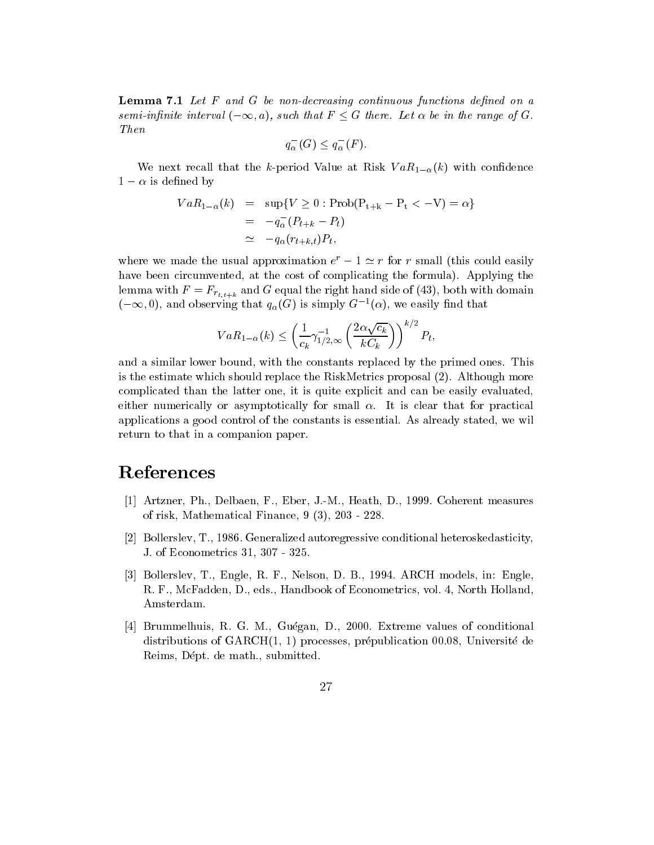**Lemma 7.1** Let  $F$  and  $G$  be non-decreasing continuous functions defined on a semi-infinite interval  $(-\infty, a)$ , such that  $F \leq G$  there. Let  $\alpha$  be in the range of G. Then

$$
q_{\alpha}^-(G) \le q_{\alpha}^-(F).
$$

We next recall that the k-period Value at Risk  $VaR_{1-\alpha}(k)$  with confidence  $1 - \alpha$  is defined by

$$
VaR_{1-\alpha}(k) = \sup \{ V \ge 0 : \text{Prob}(P_{t+k} - P_t < -V) = \alpha \}
$$
  
= 
$$
-q_{\alpha}^{-}(P_{t+k} - P_t)
$$
  

$$
\simeq -q_{\alpha}(r_{t+k,t})P_t,
$$

where we made the usual approximation  $e^+ - 1 \simeq r$  for r small (this could easily have been circumvented, at the cost of complicating the formula). Applying the lemma with  $F = F_{r_{t,t+k}}$  and G equal the right hand side of (43), both with domain  $(-\infty,0)$ , and observing that  $q_{\alpha}(G)$  is simply  $G^{-1}(\alpha)$ , we easily find that

$$
VaR_{1-\alpha}(k) \leq \left(\frac{1}{c_k}\gamma_{1/2,\infty}^{-1}\left(\frac{2\alpha\sqrt{c_k}}{kC_k}\right)\right)^{k/2}P_t,
$$

and a similar lower bound, with the constants replaced by the primed ones. This is the estimate which should replace the RiskMetrics proposal (2). Although more complicated than the latter one, it is quite explicit and can be easily evaluated, either numerically or asymptotically for small  $\alpha$ . It is clear that for practical applications a good control of the constants is essential. As already stated, we wil return to that in a companion paper.

## References

- [1] Artzner, Ph., Delbaen, F., Eber, J.-M., Heath, D., 1999. Coherent measures of risk, Mathematical Finance, 9 (3), 203 - 228.
- [2] Bollerslev, T., 1986. Generalized autoregressive conditional heteroskedasticity, J. of Econometrics 31, 307 - 325.
- [3] Bollerslev, T., Engle, R. F., Nelson, D. B., 1994. ARCH models, in: Engle, R. F., McFadden, D., eds., Handbook of Econometrics, vol. 4, North Holland, Amsterdam.
- [4] Brummelhuis, R. G. M., Guegan, D., 2000. Extreme values of conditional distributions of  $GARCH(1, 1)$  processes, prépublication 00.08, Université de Reims, Dept. de math., submitted.